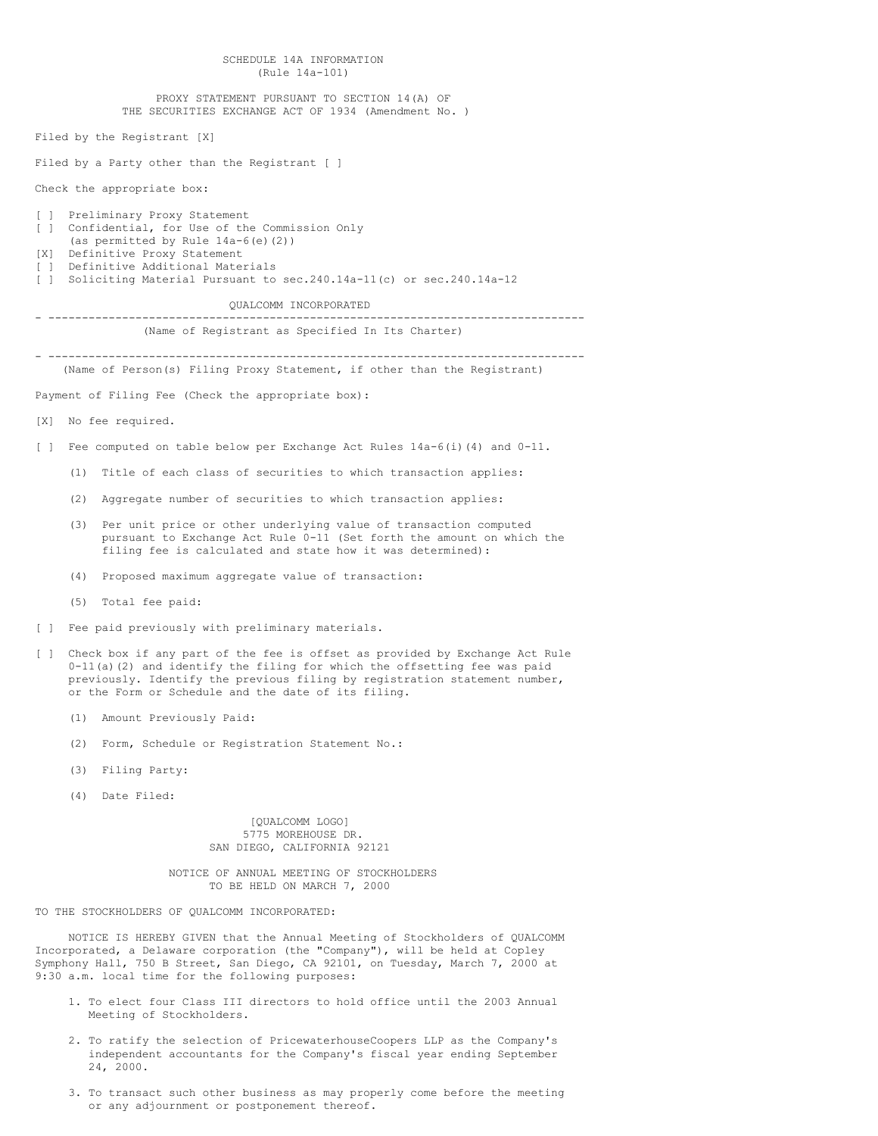|                                                                                                                                                         | SCHEDULE 14A INFORMATION<br>(Rule 14a-101)                                                                                                                                                                                                                                                       |  |
|---------------------------------------------------------------------------------------------------------------------------------------------------------|--------------------------------------------------------------------------------------------------------------------------------------------------------------------------------------------------------------------------------------------------------------------------------------------------|--|
|                                                                                                                                                         | PROXY STATEMENT PURSUANT TO SECTION 14(A) OF<br>THE SECURITIES EXCHANGE ACT OF 1934 (Amendment No. )                                                                                                                                                                                             |  |
|                                                                                                                                                         | Filed by the Registrant [X]                                                                                                                                                                                                                                                                      |  |
|                                                                                                                                                         | Filed by a Party other than the Registrant [ ]                                                                                                                                                                                                                                                   |  |
|                                                                                                                                                         | Check the appropriate box:                                                                                                                                                                                                                                                                       |  |
| $\begin{bmatrix} 1 \end{bmatrix}$<br>$\begin{bmatrix} 1 \end{bmatrix}$<br>[X]<br>$\begin{bmatrix} 1 \end{bmatrix}$<br>$\begin{bmatrix} 1 \end{bmatrix}$ | Preliminary Proxy Statement<br>Confidential, for Use of the Commission Only<br>(as permitted by Rule 14a-6(e)(2))<br>Definitive Proxy Statement<br>Definitive Additional Materials<br>Soliciting Material Pursuant to sec.240.14a-11(c) or sec.240.14a-12                                        |  |
|                                                                                                                                                         | QUALCOMM INCORPORATED                                                                                                                                                                                                                                                                            |  |
|                                                                                                                                                         | (Name of Registrant as Specified In Its Charter)                                                                                                                                                                                                                                                 |  |
|                                                                                                                                                         | (Name of Person(s) Filing Proxy Statement, if other than the Registrant)                                                                                                                                                                                                                         |  |
|                                                                                                                                                         | Payment of Filing Fee (Check the appropriate box):                                                                                                                                                                                                                                               |  |
| [X]                                                                                                                                                     | No fee required.                                                                                                                                                                                                                                                                                 |  |
| $\begin{bmatrix} 1 \end{bmatrix}$                                                                                                                       | Fee computed on table below per Exchange Act Rules $14a-6(i)$ (4) and $0-11$ .                                                                                                                                                                                                                   |  |
|                                                                                                                                                         | (1)<br>Title of each class of securities to which transaction applies:                                                                                                                                                                                                                           |  |
|                                                                                                                                                         | (2)<br>Aggregate number of securities to which transaction applies:                                                                                                                                                                                                                              |  |
|                                                                                                                                                         | (3) Per unit price or other underlying value of transaction computed<br>pursuant to Exchange Act Rule 0-11 (Set forth the amount on which the<br>filing fee is calculated and state how it was determined):                                                                                      |  |
|                                                                                                                                                         | Proposed maximum aggregate value of transaction:<br>(4)                                                                                                                                                                                                                                          |  |
|                                                                                                                                                         | (5) Total fee paid:                                                                                                                                                                                                                                                                              |  |
| $\begin{bmatrix} 1 \end{bmatrix}$                                                                                                                       | Fee paid previously with preliminary materials.                                                                                                                                                                                                                                                  |  |
| $\Box$                                                                                                                                                  | Check box if any part of the fee is offset as provided by Exchange Act Rule<br>$0-11$ (a) (2) and identify the filing for which the offsetting fee was paid<br>previously. Identify the previous filing by registration statement number,<br>or the Form or Schedule and the date of its filing. |  |
|                                                                                                                                                         | (1) Amount Previously Paid:                                                                                                                                                                                                                                                                      |  |
|                                                                                                                                                         | (2)<br>Form, Schedule or Registration Statement No.:                                                                                                                                                                                                                                             |  |
|                                                                                                                                                         | (3)<br>Filing Party:                                                                                                                                                                                                                                                                             |  |

(4) Date Filed:

[QUALCOMM LOGO] 5775 MOREHOUSE DR. SAN DIEGO, CALIFORNIA 92121

NOTICE OF ANNUAL MEETING OF STOCKHOLDERS TO BE HELD ON MARCH 7, 2000

TO THE STOCKHOLDERS OF QUALCOMM INCORPORATED:

NOTICE IS HEREBY GIVEN that the Annual Meeting of Stockholders of QUALCOMM Incorporated, a Delaware corporation (the "Company"), will be held at Copley Symphony Hall, 750 B Street, San Diego, CA 92101, on Tuesday, March 7, 2000 at 9:30 a.m. local time for the following purposes:

- 1. To elect four Class III directors to hold office until the 2003 Annual Meeting of Stockholders.
- 2. To ratify the selection of PricewaterhouseCoopers LLP as the Company's independent accountants for the Company's fiscal year ending September 24, 2000.
- 3. To transact such other business as may properly come before the meeting or any adjournment or postponement thereof.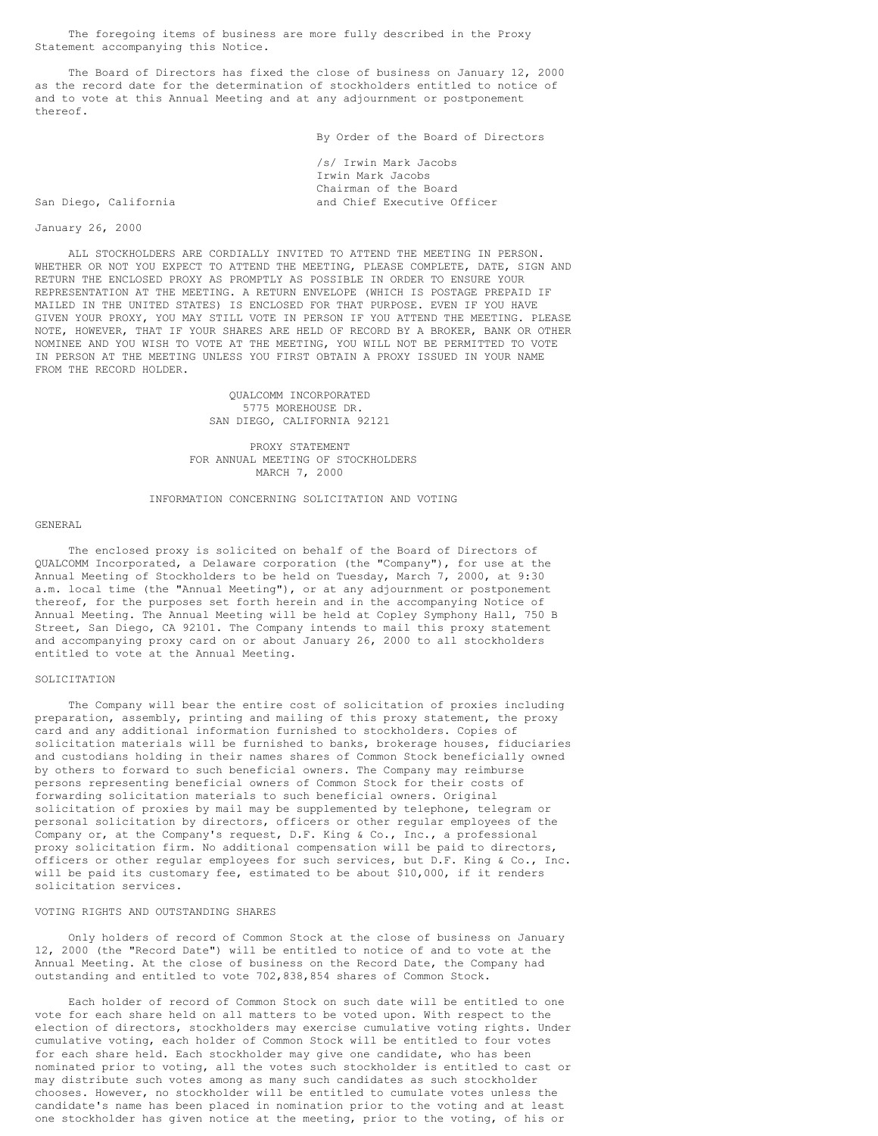The foregoing items of business are more fully described in the Proxy Statement accompanying this Notice.

The Board of Directors has fixed the close of business on January 12, 2000 as the record date for the determination of stockholders entitled to notice of and to vote at this Annual Meeting and at any adjournment or postponement thereof.

By Order of the Board of Directors

/s/ Irwin Mark Jacobs Irwin Mark Jacobs Chairman of the Board San Diego, California and Chief Executive Officer

# January 26, 2000

ALL STOCKHOLDERS ARE CORDIALLY INVITED TO ATTEND THE MEETING IN PERSON. WHETHER OR NOT YOU EXPECT TO ATTEND THE MEETING, PLEASE COMPLETE, DATE, SIGN AND RETURN THE ENCLOSED PROXY AS PROMPTLY AS POSSIBLE IN ORDER TO ENSURE YOUR REPRESENTATION AT THE MEETING. A RETURN ENVELOPE (WHICH IS POSTAGE PREPAID IF MAILED IN THE UNITED STATES) IS ENCLOSED FOR THAT PURPOSE. EVEN IF YOU HAVE GIVEN YOUR PROXY, YOU MAY STILL VOTE IN PERSON IF YOU ATTEND THE MEETING. PLEASE NOTE, HOWEVER, THAT IF YOUR SHARES ARE HELD OF RECORD BY A BROKER, BANK OR OTHER NOMINEE AND YOU WISH TO VOTE AT THE MEETING, YOU WILL NOT BE PERMITTED TO VOTE IN PERSON AT THE MEETING UNLESS YOU FIRST OBTAIN A PROXY ISSUED IN YOUR NAME FROM THE RECORD HOLDER.

> QUALCOMM INCORPORATED 5775 MOREHOUSE DR. SAN DIEGO, CALIFORNIA 92121

PROXY STATEMENT FOR ANNUAL MEETING OF STOCKHOLDERS MARCH 7, 2000

#### INFORMATION CONCERNING SOLICITATION AND VOTING

#### GENERAL

The enclosed proxy is solicited on behalf of the Board of Directors of QUALCOMM Incorporated, a Delaware corporation (the "Company"), for use at the Annual Meeting of Stockholders to be held on Tuesday, March 7, 2000, at 9:30 a.m. local time (the "Annual Meeting"), or at any adjournment or postponement thereof, for the purposes set forth herein and in the accompanying Notice of Annual Meeting. The Annual Meeting will be held at Copley Symphony Hall, 750 B Street, San Diego, CA 92101. The Company intends to mail this proxy statement and accompanying proxy card on or about January 26, 2000 to all stockholders entitled to vote at the Annual Meeting.

# SOLICITATION

The Company will bear the entire cost of solicitation of proxies including preparation, assembly, printing and mailing of this proxy statement, the proxy card and any additional information furnished to stockholders. Copies of solicitation materials will be furnished to banks, brokerage houses, fiduciaries and custodians holding in their names shares of Common Stock beneficially owned by others to forward to such beneficial owners. The Company may reimburse persons representing beneficial owners of Common Stock for their costs of forwarding solicitation materials to such beneficial owners. Original solicitation of proxies by mail may be supplemented by telephone, telegram or personal solicitation by directors, officers or other regular employees of the Company or, at the Company's request, D.F. King & Co., Inc., a professional proxy solicitation firm. No additional compensation will be paid to directors, officers or other regular employees for such services, but D.F. King & Co., Inc. will be paid its customary fee, estimated to be about \$10,000, if it renders solicitation services.

#### VOTING RIGHTS AND OUTSTANDING SHARES

Only holders of record of Common Stock at the close of business on January 12, 2000 (the "Record Date") will be entitled to notice of and to vote at the Annual Meeting. At the close of business on the Record Date, the Company had outstanding and entitled to vote 702,838,854 shares of Common Stock.

Each holder of record of Common Stock on such date will be entitled to one vote for each share held on all matters to be voted upon. With respect to the election of directors, stockholders may exercise cumulative voting rights. Under cumulative voting, each holder of Common Stock will be entitled to four votes for each share held. Each stockholder may give one candidate, who has been nominated prior to voting, all the votes such stockholder is entitled to cast or may distribute such votes among as many such candidates as such stockholder chooses. However, no stockholder will be entitled to cumulate votes unless the candidate's name has been placed in nomination prior to the voting and at least one stockholder has given notice at the meeting, prior to the voting, of his or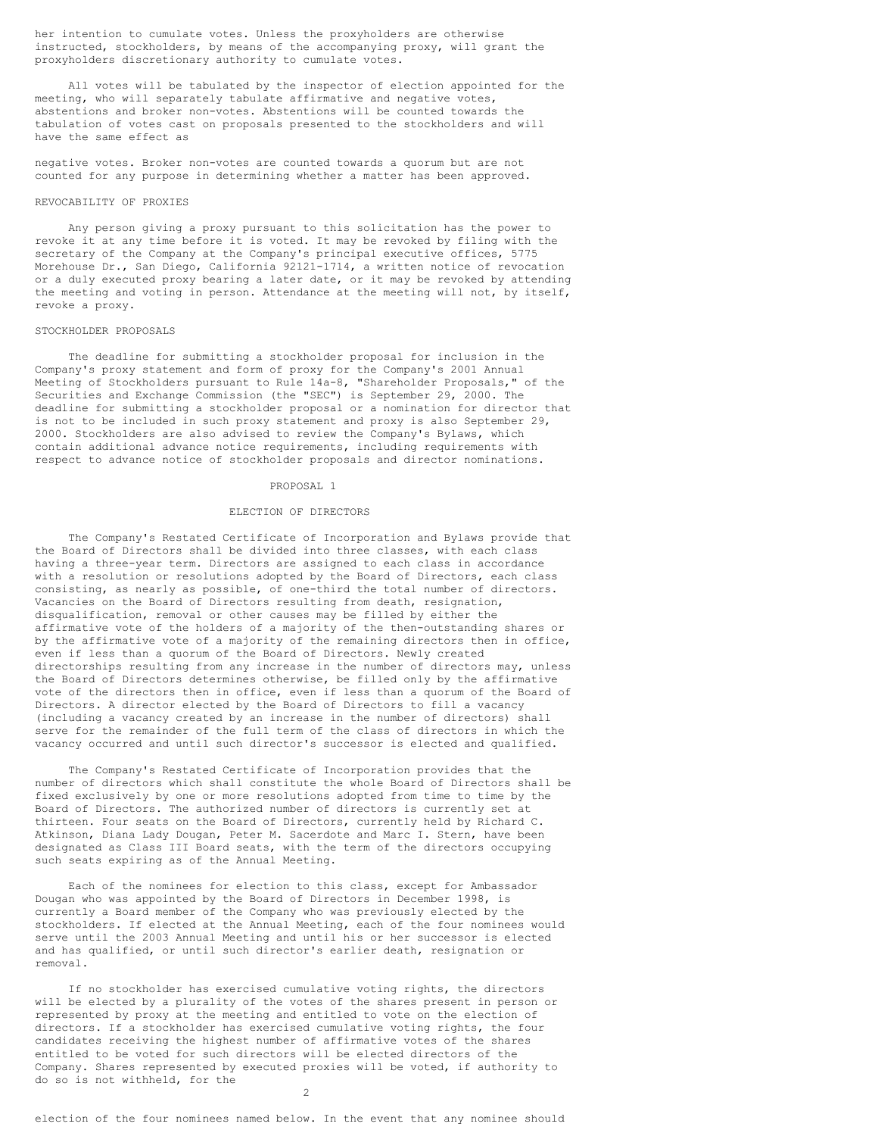her intention to cumulate votes. Unless the proxyholders are otherwise instructed, stockholders, by means of the accompanying proxy, will grant the proxyholders discretionary authority to cumulate votes.

All votes will be tabulated by the inspector of election appointed for the meeting, who will separately tabulate affirmative and negative votes, abstentions and broker non-votes. Abstentions will be counted towards the tabulation of votes cast on proposals presented to the stockholders and will have the same effect as

negative votes. Broker non-votes are counted towards a quorum but are not counted for any purpose in determining whether a matter has been approved.

#### REVOCABILITY OF PROXIES

Any person giving a proxy pursuant to this solicitation has the power to revoke it at any time before it is voted. It may be revoked by filing with the secretary of the Company at the Company's principal executive offices, 5775 Morehouse Dr., San Diego, California 92121-1714, a written notice of revocation or a duly executed proxy bearing a later date, or it may be revoked by attending the meeting and voting in person. Attendance at the meeting will not, by itself, revoke a proxy.

#### STOCKHOLDER PROPOSALS

The deadline for submitting a stockholder proposal for inclusion in the Company's proxy statement and form of proxy for the Company's 2001 Annual Meeting of Stockholders pursuant to Rule 14a-8, "Shareholder Proposals," of the Securities and Exchange Commission (the "SEC") is September 29, 2000. The deadline for submitting a stockholder proposal or a nomination for director that is not to be included in such proxy statement and proxy is also September 29, 2000. Stockholders are also advised to review the Company's Bylaws, which contain additional advance notice requirements, including requirements with respect to advance notice of stockholder proposals and director nominations.

#### PROPOSAL 1

## ELECTION OF DIRECTORS

The Company's Restated Certificate of Incorporation and Bylaws provide that the Board of Directors shall be divided into three classes, with each class having a three-year term. Directors are assigned to each class in accordance with a resolution or resolutions adopted by the Board of Directors, each class consisting, as nearly as possible, of one-third the total number of directors. Vacancies on the Board of Directors resulting from death, resignation, disqualification, removal or other causes may be filled by either the affirmative vote of the holders of a majority of the then-outstanding shares or by the affirmative vote of a majority of the remaining directors then in office, even if less than a quorum of the Board of Directors. Newly created directorships resulting from any increase in the number of directors may, unless the Board of Directors determines otherwise, be filled only by the affirmative vote of the directors then in office, even if less than a quorum of the Board of Directors. A director elected by the Board of Directors to fill a vacancy (including a vacancy created by an increase in the number of directors) shall serve for the remainder of the full term of the class of directors in which the vacancy occurred and until such director's successor is elected and qualified.

The Company's Restated Certificate of Incorporation provides that the number of directors which shall constitute the whole Board of Directors shall be fixed exclusively by one or more resolutions adopted from time to time by the Board of Directors. The authorized number of directors is currently set at thirteen. Four seats on the Board of Directors, currently held by Richard C. Atkinson, Diana Lady Dougan, Peter M. Sacerdote and Marc I. Stern, have been designated as Class III Board seats, with the term of the directors occupying such seats expiring as of the Annual Meeting.

Each of the nominees for election to this class, except for Ambassador Dougan who was appointed by the Board of Directors in December 1998, is currently a Board member of the Company who was previously elected by the stockholders. If elected at the Annual Meeting, each of the four nominees would serve until the 2003 Annual Meeting and until his or her successor is elected and has qualified, or until such director's earlier death, resignation or removal.

If no stockholder has exercised cumulative voting rights, the directors will be elected by a plurality of the votes of the shares present in person or represented by proxy at the meeting and entitled to vote on the election of directors. If a stockholder has exercised cumulative voting rights, the four candidates receiving the highest number of affirmative votes of the shares entitled to be voted for such directors will be elected directors of the Company. Shares represented by executed proxies will be voted, if authority to do so is not withheld, for the

 $\mathcal{P}$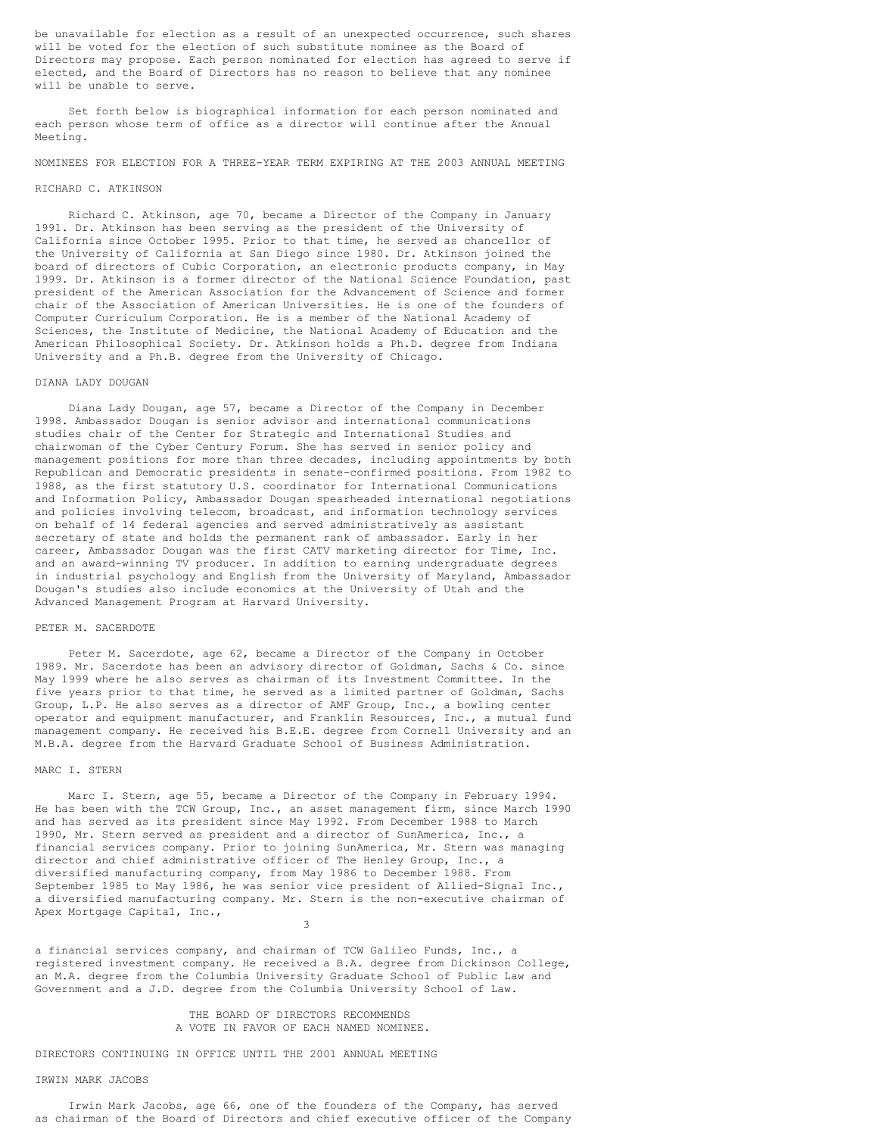be unavailable for election as a result of an unexpected occurrence, such shares will be voted for the election of such substitute nominee as the Board of Directors may propose. Each person nominated for election has agreed to serve if elected, and the Board of Directors has no reason to believe that any nominee will be unable to serve.

Set forth below is biographical information for each person nominated and each person whose term of office as a director will continue after the Annual Meeting.

# NOMINEES FOR ELECTION FOR A THREE-YEAR TERM EXPIRING AT THE 2003 ANNUAL MEETING

## RICHARD C. ATKINSON

Richard C. Atkinson, age 70, became a Director of the Company in January 1991. Dr. Atkinson has been serving as the president of the University of California since October 1995. Prior to that time, he served as chancellor of the University of California at San Diego since 1980. Dr. Atkinson joined the board of directors of Cubic Corporation, an electronic products company, in May 1999. Dr. Atkinson is a former director of the National Science Foundation, past president of the American Association for the Advancement of Science and former chair of the Association of American Universities. He is one of the founders of Computer Curriculum Corporation. He is a member of the National Academy of Sciences, the Institute of Medicine, the National Academy of Education and the American Philosophical Society. Dr. Atkinson holds a Ph.D. degree from Indiana University and a Ph.B. degree from the University of Chicago.

#### DIANA LADY DOUGAN

Diana Lady Dougan, age 57, became a Director of the Company in December 1998. Ambassador Dougan is senior advisor and international communications studies chair of the Center for Strategic and International Studies and chairwoman of the Cyber Century Forum. She has served in senior policy and management positions for more than three decades, including appointments by both Republican and Democratic presidents in senate-confirmed positions. From 1982 to 1988, as the first statutory U.S. coordinator for International Communications and Information Policy, Ambassador Dougan spearheaded international negotiations and policies involving telecom, broadcast, and information technology services on behalf of 14 federal agencies and served administratively as assistant secretary of state and holds the permanent rank of ambassador. Early in her career, Ambassador Dougan was the first CATV marketing director for Time, Inc. and an award-winning TV producer. In addition to earning undergraduate degrees in industrial psychology and English from the University of Maryland, Ambassador Dougan's studies also include economics at the University of Utah and the Advanced Management Program at Harvard University.

## PETER M. SACERDOTE

Peter M. Sacerdote, age 62, became a Director of the Company in October 1989. Mr. Sacerdote has been an advisory director of Goldman, Sachs & Co. since May 1999 where he also serves as chairman of its Investment Committee. In the five years prior to that time, he served as a limited partner of Goldman, Sachs Group, L.P. He also serves as a director of AMF Group, Inc., a bowling center operator and equipment manufacturer, and Franklin Resources, Inc., a mutual fund management company. He received his B.E.E. degree from Cornell University and an M.B.A. degree from the Harvard Graduate School of Business Administration.

## MARC I. STERN

Marc I. Stern, age 55, became a Director of the Company in February 1994. He has been with the TCW Group, Inc., an asset management firm, since March 1990 and has served as its president since May 1992. From December 1988 to March 1990, Mr. Stern served as president and a director of SunAmerica, Inc., a financial services company. Prior to joining SunAmerica, Mr. Stern was managing director and chief administrative officer of The Henley Group, Inc., a diversified manufacturing company, from May 1986 to December 1988. From September 1985 to May 1986, he was senior vice president of Allied-Signal Inc., a diversified manufacturing company. Mr. Stern is the non-executive chairman of Apex Mortgage Capital, Inc.,

3

a financial services company, and chairman of TCW Galileo Funds, Inc., a registered investment company. He received a B.A. degree from Dickinson College, an M.A. degree from the Columbia University Graduate School of Public Law and Government and a J.D. degree from the Columbia University School of Law.

# THE BOARD OF DIRECTORS RECOMMENDS A VOTE IN FAVOR OF EACH NAMED NOMINEE.

DIRECTORS CONTINUING IN OFFICE UNTIL THE 2001 ANNUAL MEETING

# IRWIN MARK JACOBS

Irwin Mark Jacobs, age 66, one of the founders of the Company, has served as chairman of the Board of Directors and chief executive officer of the Company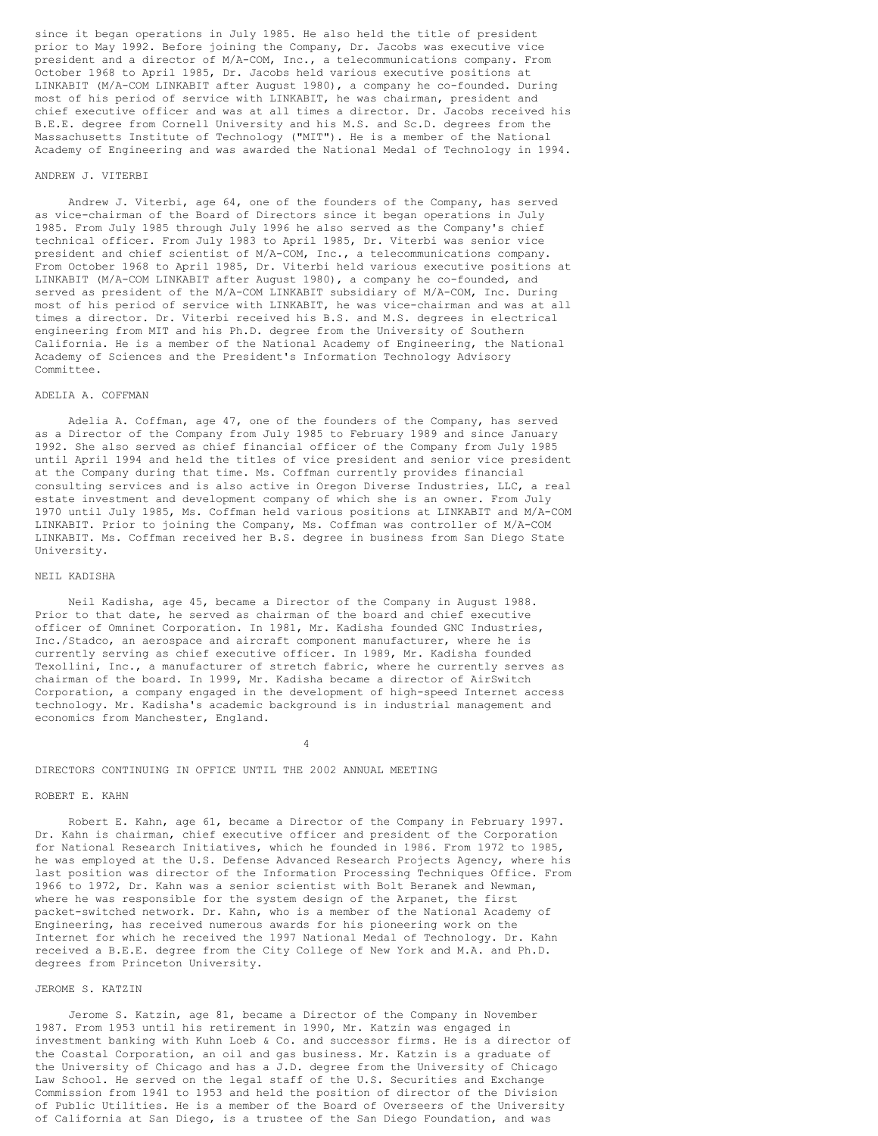since it began operations in July 1985. He also held the title of president prior to May 1992. Before joining the Company, Dr. Jacobs was executive vice president and a director of M/A-COM, Inc., a telecommunications company. From October 1968 to April 1985, Dr. Jacobs held various executive positions at LINKABIT (M/A-COM LINKABIT after August 1980), a company he co-founded. During most of his period of service with LINKABIT, he was chairman, president and chief executive officer and was at all times a director. Dr. Jacobs received his B.E.E. degree from Cornell University and his M.S. and Sc.D. degrees from the Massachusetts Institute of Technology ("MIT"). He is a member of the National Academy of Engineering and was awarded the National Medal of Technology in 1994.

#### ANDREW J. VITERBI

Andrew J. Viterbi, age 64, one of the founders of the Company, has served as vice-chairman of the Board of Directors since it began operations in July 1985. From July 1985 through July 1996 he also served as the Company's chief technical officer. From July 1983 to April 1985, Dr. Viterbi was senior vice president and chief scientist of M/A-COM, Inc., a telecommunications company. From October 1968 to April 1985, Dr. Viterbi held various executive positions at LINKABIT (M/A-COM LINKABIT after August 1980), a company he co-founded, and served as president of the M/A-COM LINKABIT subsidiary of M/A-COM, Inc. During most of his period of service with LINKABIT, he was vice-chairman and was at all times a director. Dr. Viterbi received his B.S. and M.S. degrees in electrical engineering from MIT and his Ph.D. degree from the University of Southern California. He is a member of the National Academy of Engineering, the National Academy of Sciences and the President's Information Technology Advisory Committee.

#### ADELIA A. COFFMAN

Adelia A. Coffman, age 47, one of the founders of the Company, has served as a Director of the Company from July 1985 to February 1989 and since January 1992. She also served as chief financial officer of the Company from July 1985 until April 1994 and held the titles of vice president and senior vice president at the Company during that time. Ms. Coffman currently provides financial consulting services and is also active in Oregon Diverse Industries, LLC, a real estate investment and development company of which she is an owner. From July 1970 until July 1985, Ms. Coffman held various positions at LINKABIT and M/A-COM LINKABIT. Prior to joining the Company, Ms. Coffman was controller of M/A-COM LINKABIT. Ms. Coffman received her B.S. degree in business from San Diego State University.

## NEIL KADISHA

Neil Kadisha, age 45, became a Director of the Company in August 1988. Prior to that date, he served as chairman of the board and chief executive officer of Omninet Corporation. In 1981, Mr. Kadisha founded GNC Industries, Inc./Stadco, an aerospace and aircraft component manufacturer, where he is currently serving as chief executive officer. In 1989, Mr. Kadisha founded Texollini, Inc., a manufacturer of stretch fabric, where he currently serves as chairman of the board. In 1999, Mr. Kadisha became a director of AirSwitch Corporation, a company engaged in the development of high-speed Internet access technology. Mr. Kadisha's academic background is in industrial management and economics from Manchester, England.

4

# DIRECTORS CONTINUING IN OFFICE UNTIL THE 2002 ANNUAL MEETING

## ROBERT E. KAHN

Robert E. Kahn, age 61, became a Director of the Company in February 1997. Dr. Kahn is chairman, chief executive officer and president of the Corporation for National Research Initiatives, which he founded in 1986. From 1972 to 1985, he was employed at the U.S. Defense Advanced Research Projects Agency, where his last position was director of the Information Processing Techniques Office. From 1966 to 1972, Dr. Kahn was a senior scientist with Bolt Beranek and Newman, where he was responsible for the system design of the Arpanet, the first packet-switched network. Dr. Kahn, who is a member of the National Academy of Engineering, has received numerous awards for his pioneering work on the Internet for which he received the 1997 National Medal of Technology. Dr. Kahn received a B.E.E. degree from the City College of New York and M.A. and Ph.D. degrees from Princeton University.

#### JEROME S. KATZIN

Jerome S. Katzin, age 81, became a Director of the Company in November 1987. From 1953 until his retirement in 1990, Mr. Katzin was engaged in investment banking with Kuhn Loeb & Co. and successor firms. He is a director of the Coastal Corporation, an oil and gas business. Mr. Katzin is a graduate of the University of Chicago and has a J.D. degree from the University of Chicago Law School. He served on the legal staff of the U.S. Securities and Exchange Commission from 1941 to 1953 and held the position of director of the Division of Public Utilities. He is a member of the Board of Overseers of the University of California at San Diego, is a trustee of the San Diego Foundation, and was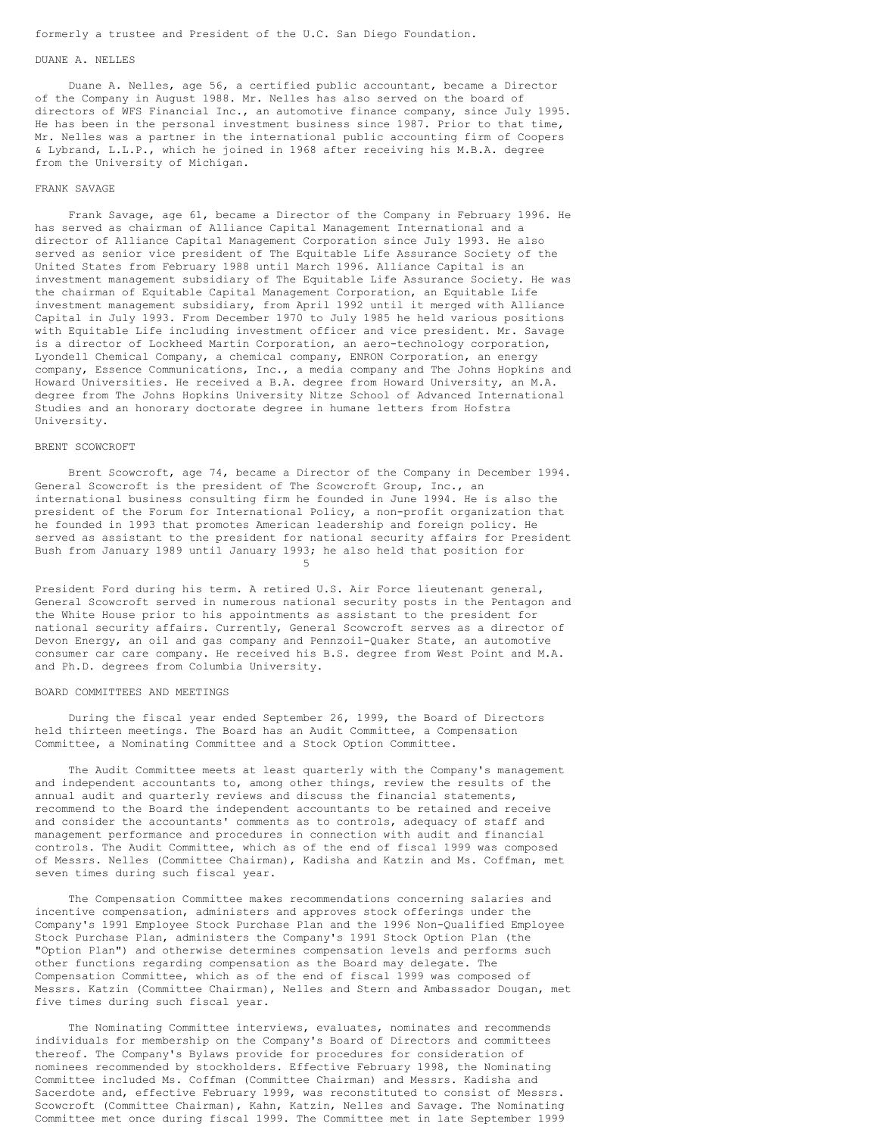# formerly a trustee and President of the U.C. San Diego Foundation.

#### DUANE A. NELLES

Duane A. Nelles, age 56, a certified public accountant, became a Director of the Company in August 1988. Mr. Nelles has also served on the board of directors of WFS Financial Inc., an automotive finance company, since July 1995. He has been in the personal investment business since 1987. Prior to that time, Mr. Nelles was a partner in the international public accounting firm of Coopers & Lybrand, L.L.P., which he joined in 1968 after receiving his M.B.A. degree from the University of Michigan.

# FRANK SAVAGE

Frank Savage, age 61, became a Director of the Company in February 1996. He has served as chairman of Alliance Capital Management International and a director of Alliance Capital Management Corporation since July 1993. He also served as senior vice president of The Equitable Life Assurance Society of the United States from February 1988 until March 1996. Alliance Capital is an investment management subsidiary of The Equitable Life Assurance Society. He was the chairman of Equitable Capital Management Corporation, an Equitable Life investment management subsidiary, from April 1992 until it merged with Alliance Capital in July 1993. From December 1970 to July 1985 he held various positions with Equitable Life including investment officer and vice president. Mr. Savage is a director of Lockheed Martin Corporation, an aero-technology corporation, Lyondell Chemical Company, a chemical company, ENRON Corporation, an energy company, Essence Communications, Inc., a media company and The Johns Hopkins and Howard Universities. He received a B.A. degree from Howard University, an M.A. degree from The Johns Hopkins University Nitze School of Advanced International Studies and an honorary doctorate degree in humane letters from Hofstra University.

## BRENT SCOWCROFT

Brent Scowcroft, age 74, became a Director of the Company in December 1994. General Scowcroft is the president of The Scowcroft Group, Inc., an international business consulting firm he founded in June 1994. He is also the president of the Forum for International Policy, a non-profit organization that he founded in 1993 that promotes American leadership and foreign policy. He served as assistant to the president for national security affairs for President Bush from January 1989 until January 1993; he also held that position for 5

President Ford during his term. A retired U.S. Air Force lieutenant general, General Scowcroft served in numerous national security posts in the Pentagon and the White House prior to his appointments as assistant to the president for national security affairs. Currently, General Scowcroft serves as a director of Devon Energy, an oil and gas company and Pennzoil-Quaker State, an automotive consumer car care company. He received his B.S. degree from West Point and M.A. and Ph.D. degrees from Columbia University.

## BOARD COMMITTEES AND MEETINGS

During the fiscal year ended September 26, 1999, the Board of Directors held thirteen meetings. The Board has an Audit Committee, a Compensation Committee, a Nominating Committee and a Stock Option Committee.

The Audit Committee meets at least quarterly with the Company's management and independent accountants to, among other things, review the results of the annual audit and quarterly reviews and discuss the financial statements, recommend to the Board the independent accountants to be retained and receive and consider the accountants' comments as to controls, adequacy of staff and management performance and procedures in connection with audit and financial controls. The Audit Committee, which as of the end of fiscal 1999 was composed of Messrs. Nelles (Committee Chairman), Kadisha and Katzin and Ms. Coffman, met seven times during such fiscal year.

The Compensation Committee makes recommendations concerning salaries and incentive compensation, administers and approves stock offerings under the Company's 1991 Employee Stock Purchase Plan and the 1996 Non-Qualified Employee Stock Purchase Plan, administers the Company's 1991 Stock Option Plan (the "Option Plan") and otherwise determines compensation levels and performs such other functions regarding compensation as the Board may delegate. The Compensation Committee, which as of the end of fiscal 1999 was composed of Messrs. Katzin (Committee Chairman), Nelles and Stern and Ambassador Dougan, met five times during such fiscal year.

The Nominating Committee interviews, evaluates, nominates and recommends individuals for membership on the Company's Board of Directors and committees thereof. The Company's Bylaws provide for procedures for consideration of nominees recommended by stockholders. Effective February 1998, the Nominating Committee included Ms. Coffman (Committee Chairman) and Messrs. Kadisha and Sacerdote and, effective February 1999, was reconstituted to consist of Messrs. Scowcroft (Committee Chairman), Kahn, Katzin, Nelles and Savage. The Nominating Committee met once during fiscal 1999. The Committee met in late September 1999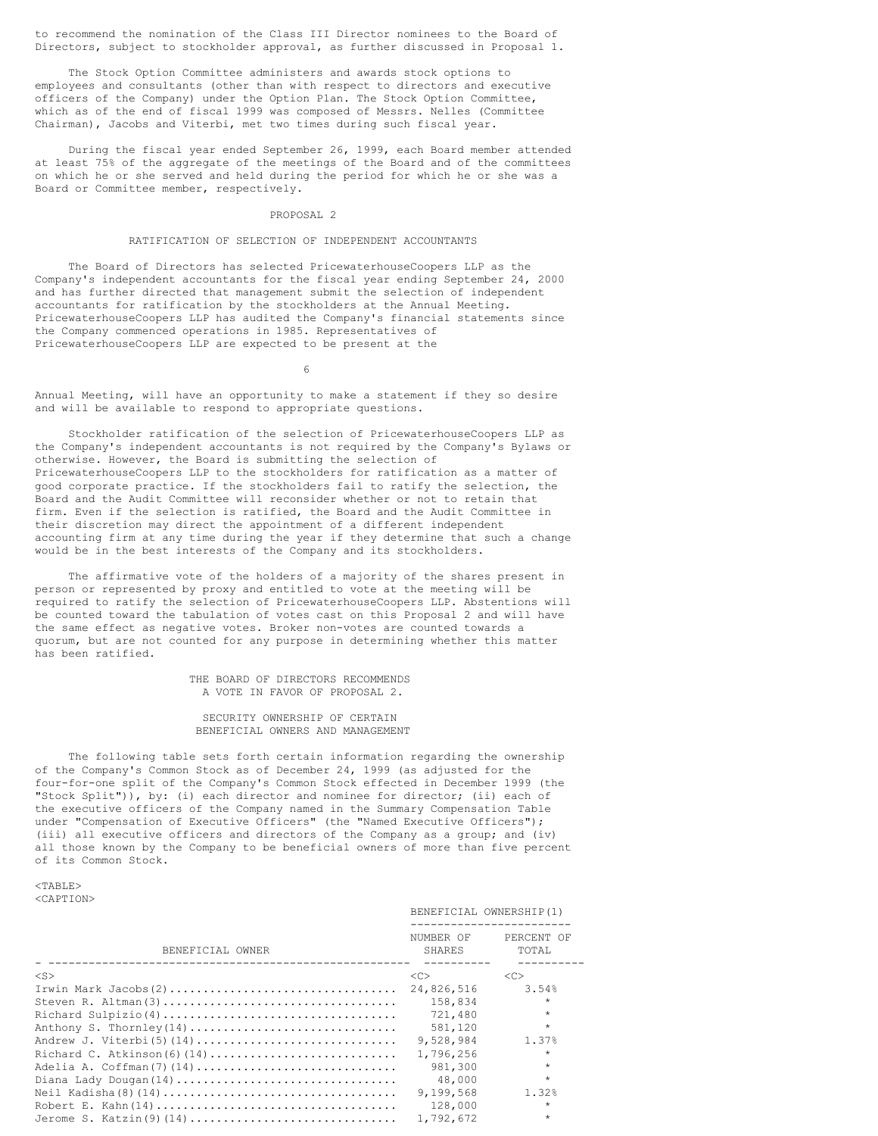to recommend the nomination of the Class III Director nominees to the Board of Directors, subject to stockholder approval, as further discussed in Proposal 1.

The Stock Option Committee administers and awards stock options to employees and consultants (other than with respect to directors and executive officers of the Company) under the Option Plan. The Stock Option Committee, which as of the end of fiscal 1999 was composed of Messrs. Nelles (Committee Chairman), Jacobs and Viterbi, met two times during such fiscal year.

During the fiscal year ended September 26, 1999, each Board member attended at least 75% of the aggregate of the meetings of the Board and of the committees on which he or she served and held during the period for which he or she was a Board or Committee member, respectively.

## PROPOSAL 2

#### RATIFICATION OF SELECTION OF INDEPENDENT ACCOUNTANTS

The Board of Directors has selected PricewaterhouseCoopers LLP as the Company's independent accountants for the fiscal year ending September 24, 2000 and has further directed that management submit the selection of independent accountants for ratification by the stockholders at the Annual Meeting. PricewaterhouseCoopers LLP has audited the Company's financial statements since the Company commenced operations in 1985. Representatives of PricewaterhouseCoopers LLP are expected to be present at the

6

Annual Meeting, will have an opportunity to make a statement if they so desire and will be available to respond to appropriate questions.

Stockholder ratification of the selection of PricewaterhouseCoopers LLP as the Company's independent accountants is not required by the Company's Bylaws or otherwise. However, the Board is submitting the selection of PricewaterhouseCoopers LLP to the stockholders for ratification as a matter of good corporate practice. If the stockholders fail to ratify the selection, the Board and the Audit Committee will reconsider whether or not to retain that firm. Even if the selection is ratified, the Board and the Audit Committee in their discretion may direct the appointment of a different independent accounting firm at any time during the year if they determine that such a change would be in the best interests of the Company and its stockholders.

The affirmative vote of the holders of a majority of the shares present in person or represented by proxy and entitled to vote at the meeting will be required to ratify the selection of PricewaterhouseCoopers LLP. Abstentions will be counted toward the tabulation of votes cast on this Proposal 2 and will have the same effect as negative votes. Broker non-votes are counted towards a quorum, but are not counted for any purpose in determining whether this matter has been ratified.

> THE BOARD OF DIRECTORS RECOMMENDS A VOTE IN FAVOR OF PROPOSAL 2.

SECURITY OWNERSHIP OF CERTAIN BENEFICIAL OWNERS AND MANAGEMENT

The following table sets forth certain information regarding the ownership of the Company's Common Stock as of December 24, 1999 (as adjusted for the four-for-one split of the Company's Common Stock effected in December 1999 (the "Stock Split")), by: (i) each director and nominee for director; (ii) each of the executive officers of the Company named in the Summary Compensation Table under "Compensation of Executive Officers" (the "Named Executive Officers"); (iii) all executive officers and directors of the Company as a group; and (iv) all those known by the Company to be beneficial owners of more than five percent of its Common Stock.

<TABLE> <CAPTION>

|                          | BENEFICIAL OWNERSHIP(1) |                     |  |  |
|--------------------------|-------------------------|---------------------|--|--|
| BENEFICIAL OWNER         | NUMBER OF<br>SHARES     | PERCENT OF<br>TOTAL |  |  |
| $<$ S $>$                | <<                      | < <sub></sub>       |  |  |
|                          | 24,826,516              | 3.54%               |  |  |
| Steven R. Altman(3)      | 158,834                 | $\star$             |  |  |
|                          | 721,480                 | $\star$             |  |  |
| Anthony S. Thornley(14)  | 581,120                 | $\star$             |  |  |
| Andrew J. Viterbi(5)(14) | 9.528.984               | 1.37%               |  |  |
|                          | 1,796,256               | $\star$             |  |  |
|                          | 981,300                 | $\star$             |  |  |
|                          | 48,000                  | $\star$             |  |  |
|                          | 9,199,568               | 1.32%               |  |  |
|                          | 128,000                 | $\star$             |  |  |
| Jerome S. Katzin(9)(14)  | 1,792,672               | $\star$             |  |  |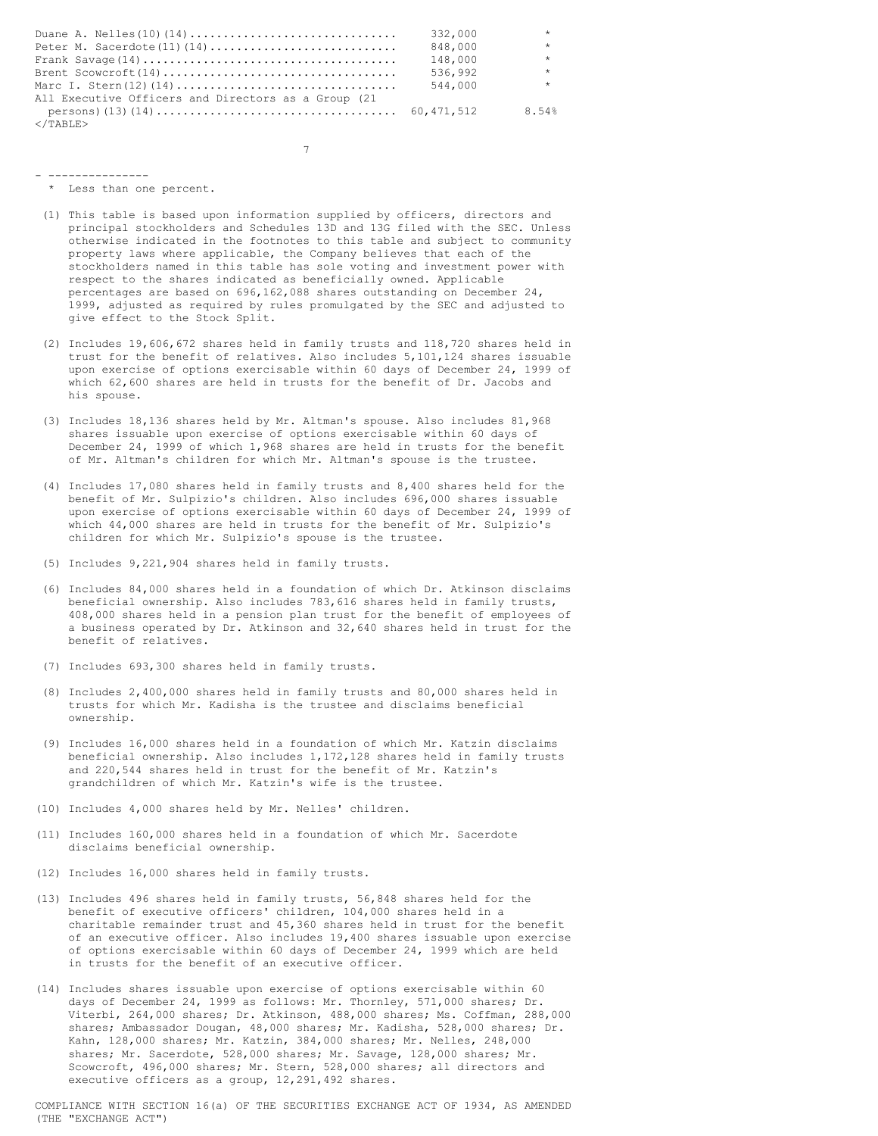|                                                     | 332,000 | $\star$ |
|-----------------------------------------------------|---------|---------|
|                                                     | 848,000 | $\star$ |
|                                                     | 148,000 | $\star$ |
|                                                     | 536,992 | $\star$ |
|                                                     | 544,000 | $\star$ |
| All Executive Officers and Directors as a Group (21 |         |         |
|                                                     |         | 8.54%   |
| $\langle$ /TABLE>                                   |         |         |

7

- --------------- \* Less than one percent.
- (1) This table is based upon information supplied by officers, directors and principal stockholders and Schedules 13D and 13G filed with the SEC. Unless otherwise indicated in the footnotes to this table and subject to community property laws where applicable, the Company believes that each of the stockholders named in this table has sole voting and investment power with respect to the shares indicated as beneficially owned. Applicable percentages are based on 696,162,088 shares outstanding on December 24, 1999, adjusted as required by rules promulgated by the SEC and adjusted to give effect to the Stock Split.
- (2) Includes 19,606,672 shares held in family trusts and 118,720 shares held in trust for the benefit of relatives. Also includes 5,101,124 shares issuable upon exercise of options exercisable within 60 days of December 24, 1999 of which 62,600 shares are held in trusts for the benefit of Dr. Jacobs and his spouse.
- (3) Includes 18,136 shares held by Mr. Altman's spouse. Also includes 81,968 shares issuable upon exercise of options exercisable within 60 days of December 24, 1999 of which 1,968 shares are held in trusts for the benefit of Mr. Altman's children for which Mr. Altman's spouse is the trustee.
- (4) Includes 17,080 shares held in family trusts and 8,400 shares held for the benefit of Mr. Sulpizio's children. Also includes 696,000 shares issuable upon exercise of options exercisable within 60 days of December 24, 1999 of which 44,000 shares are held in trusts for the benefit of Mr. Sulpizio's children for which Mr. Sulpizio's spouse is the trustee.
- (5) Includes 9,221,904 shares held in family trusts.
- (6) Includes 84,000 shares held in a foundation of which Dr. Atkinson disclaims beneficial ownership. Also includes 783,616 shares held in family trusts, 408,000 shares held in a pension plan trust for the benefit of employees of a business operated by Dr. Atkinson and 32,640 shares held in trust for the benefit of relatives.
- (7) Includes 693,300 shares held in family trusts.
- (8) Includes 2,400,000 shares held in family trusts and 80,000 shares held in trusts for which Mr. Kadisha is the trustee and disclaims beneficial ownership.
- (9) Includes 16,000 shares held in a foundation of which Mr. Katzin disclaims beneficial ownership. Also includes 1,172,128 shares held in family trusts and 220,544 shares held in trust for the benefit of Mr. Katzin's grandchildren of which Mr. Katzin's wife is the trustee.
- (10) Includes 4,000 shares held by Mr. Nelles' children.
- (11) Includes 160,000 shares held in a foundation of which Mr. Sacerdote disclaims beneficial ownership.
- (12) Includes 16,000 shares held in family trusts.
- (13) Includes 496 shares held in family trusts, 56,848 shares held for the benefit of executive officers' children, 104,000 shares held in a charitable remainder trust and 45,360 shares held in trust for the benefit of an executive officer. Also includes 19,400 shares issuable upon exercise of options exercisable within 60 days of December 24, 1999 which are held in trusts for the benefit of an executive officer.
- (14) Includes shares issuable upon exercise of options exercisable within 60 days of December 24, 1999 as follows: Mr. Thornley, 571,000 shares; Dr. Viterbi, 264,000 shares; Dr. Atkinson, 488,000 shares; Ms. Coffman, 288,000 shares; Ambassador Dougan, 48,000 shares; Mr. Kadisha, 528,000 shares; Dr. Kahn, 128,000 shares; Mr. Katzin, 384,000 shares; Mr. Nelles, 248,000 shares; Mr. Sacerdote, 528,000 shares; Mr. Savage, 128,000 shares; Mr. Scowcroft, 496,000 shares; Mr. Stern, 528,000 shares; all directors and executive officers as a group, 12,291,492 shares.

COMPLIANCE WITH SECTION 16(a) OF THE SECURITIES EXCHANGE ACT OF 1934, AS AMENDED (THE "EXCHANGE ACT")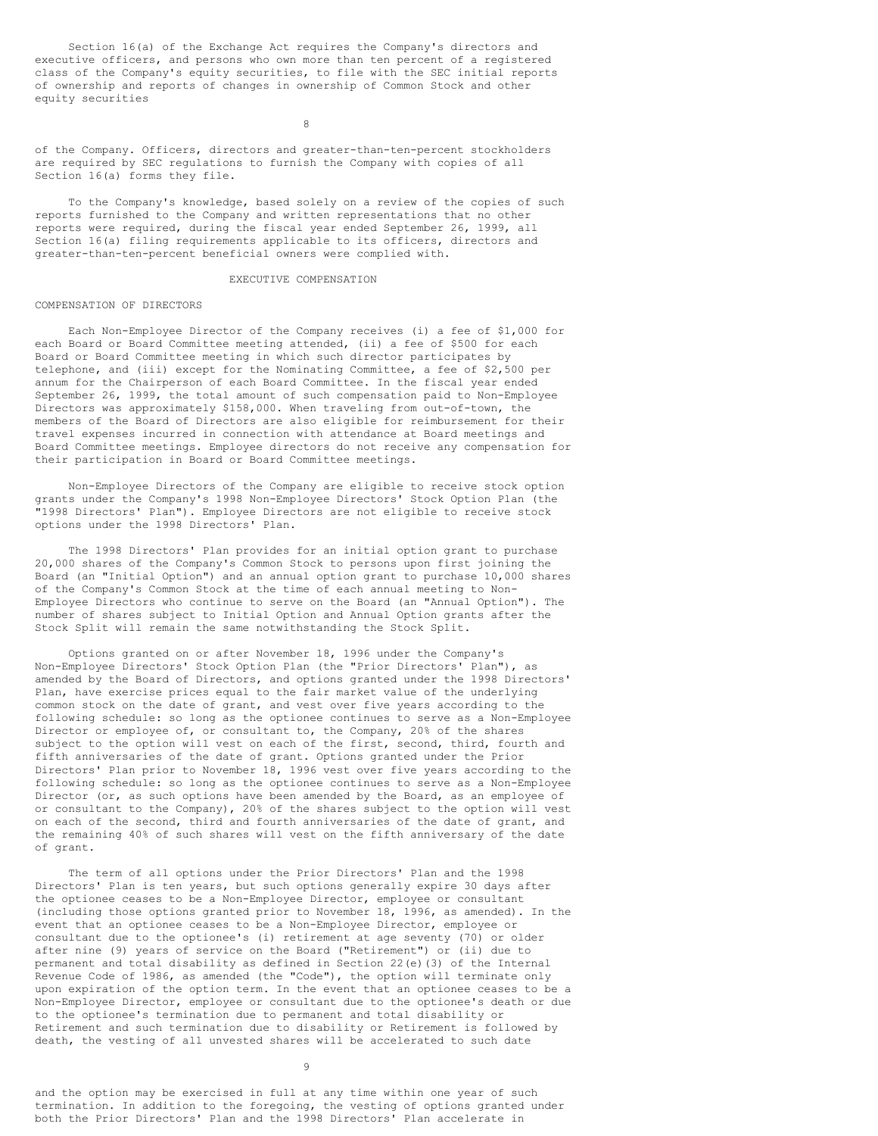Section 16(a) of the Exchange Act requires the Company's directors and executive officers, and persons who own more than ten percent of a registered class of the Company's equity securities, to file with the SEC initial reports of ownership and reports of changes in ownership of Common Stock and other equity securities

8

of the Company. Officers, directors and greater-than-ten-percent stockholders are required by SEC regulations to furnish the Company with copies of all Section 16(a) forms they file.

To the Company's knowledge, based solely on a review of the copies of such reports furnished to the Company and written representations that no other reports were required, during the fiscal year ended September 26, 1999, all Section 16(a) filing requirements applicable to its officers, directors and greater-than-ten-percent beneficial owners were complied with.

#### EXECUTIVE COMPENSATION

## COMPENSATION OF DIRECTORS

Each Non-Employee Director of the Company receives (i) a fee of \$1,000 for each Board or Board Committee meeting attended, (ii) a fee of \$500 for each Board or Board Committee meeting in which such director participates by telephone, and (iii) except for the Nominating Committee, a fee of \$2,500 per annum for the Chairperson of each Board Committee. In the fiscal year ended September 26, 1999, the total amount of such compensation paid to Non-Employee Directors was approximately \$158,000. When traveling from out-of-town, the members of the Board of Directors are also eligible for reimbursement for their travel expenses incurred in connection with attendance at Board meetings and Board Committee meetings. Employee directors do not receive any compensation for their participation in Board or Board Committee meetings.

Non-Employee Directors of the Company are eligible to receive stock option grants under the Company's 1998 Non-Employee Directors' Stock Option Plan (the "1998 Directors' Plan"). Employee Directors are not eligible to receive stock options under the 1998 Directors' Plan.

The 1998 Directors' Plan provides for an initial option grant to purchase 20,000 shares of the Company's Common Stock to persons upon first joining the Board (an "Initial Option") and an annual option grant to purchase 10,000 shares of the Company's Common Stock at the time of each annual meeting to Non-Employee Directors who continue to serve on the Board (an "Annual Option"). The number of shares subject to Initial Option and Annual Option grants after the Stock Split will remain the same notwithstanding the Stock Split.

Options granted on or after November 18, 1996 under the Company's Non-Employee Directors' Stock Option Plan (the "Prior Directors' Plan"), as amended by the Board of Directors, and options granted under the 1998 Directors' Plan, have exercise prices equal to the fair market value of the underlying common stock on the date of grant, and vest over five years according to the following schedule: so long as the optionee continues to serve as a Non-Employee Director or employee of, or consultant to, the Company, 20% of the shares subject to the option will vest on each of the first, second, third, fourth and fifth anniversaries of the date of grant. Options granted under the Prior Directors' Plan prior to November 18, 1996 vest over five years according to the following schedule: so long as the optionee continues to serve as a Non-Employee Director (or, as such options have been amended by the Board, as an employee of or consultant to the Company), 20% of the shares subject to the option will vest on each of the second, third and fourth anniversaries of the date of grant, and the remaining 40% of such shares will vest on the fifth anniversary of the date of grant.

The term of all options under the Prior Directors' Plan and the 1998 Directors' Plan is ten years, but such options generally expire 30 days after the optionee ceases to be a Non-Employee Director, employee or consultant (including those options granted prior to November 18, 1996, as amended). In the event that an optionee ceases to be a Non-Employee Director, employee or consultant due to the optionee's (i) retirement at age seventy (70) or older after nine (9) years of service on the Board ("Retirement") or (ii) due to permanent and total disability as defined in Section 22(e)(3) of the Internal Revenue Code of 1986, as amended (the "Code"), the option will terminate only upon expiration of the option term. In the event that an optionee ceases to be a Non-Employee Director, employee or consultant due to the optionee's death or due to the optionee's termination due to permanent and total disability or Retirement and such termination due to disability or Retirement is followed by death, the vesting of all unvested shares will be accelerated to such date

9

and the option may be exercised in full at any time within one year of such termination. In addition to the foregoing, the vesting of options granted under both the Prior Directors' Plan and the 1998 Directors' Plan accelerate in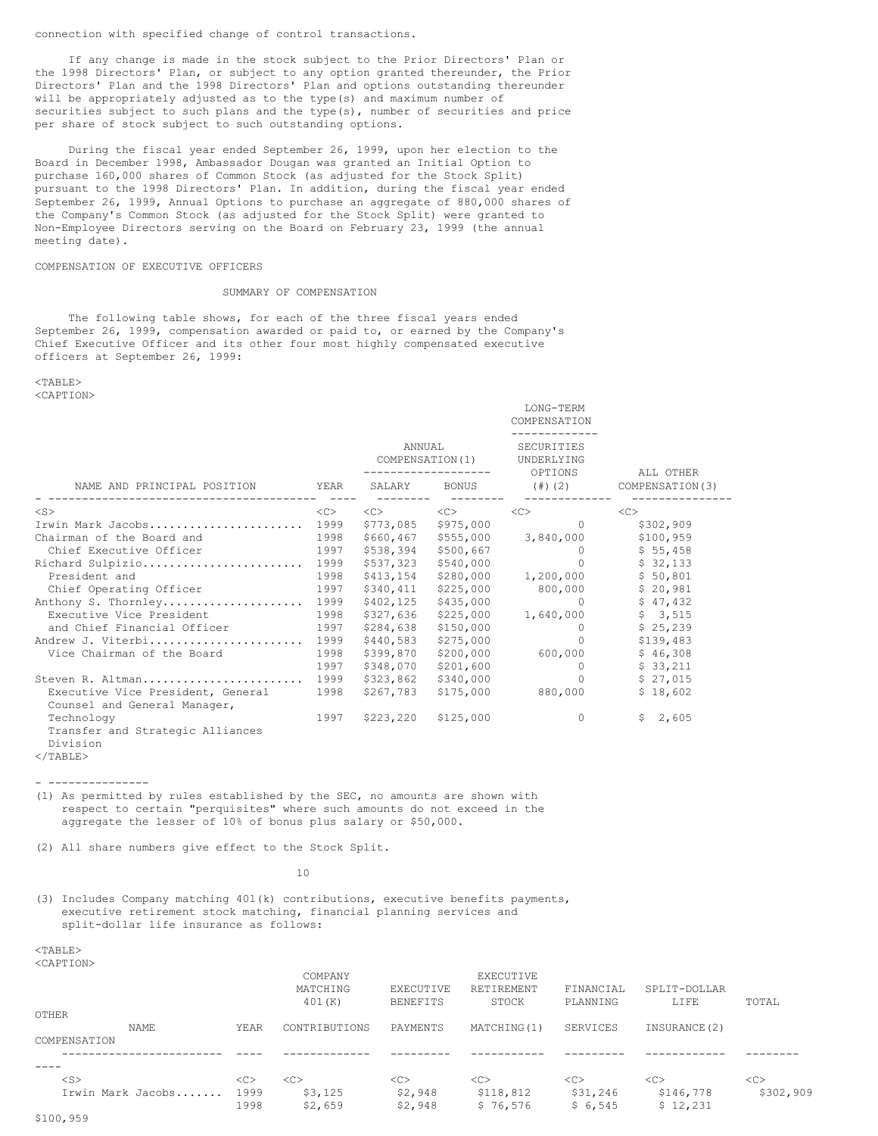connection with specified change of control transactions.

If any change is made in the stock subject to the Prior Directors' Plan or the 1998 Directors' Plan, or subject to any option granted thereunder, the Prior Directors' Plan and the 1998 Directors' Plan and options outstanding thereunder will be appropriately adjusted as to the type(s) and maximum number of securities subject to such plans and the type(s), number of securities and price per share of stock subject to such outstanding options.

During the fiscal year ended September 26, 1999, upon her election to the Board in December 1998, Ambassador Dougan was granted an Initial Option to purchase 160,000 shares of Common Stock (as adjusted for the Stock Split) pursuant to the 1998 Directors' Plan. In addition, during the fiscal year ended September 26, 1999, Annual Options to purchase an aggregate of 880,000 shares of the Company's Common Stock (as adjusted for the Stock Split) were granted to Non-Employee Directors serving on the Board on February 23, 1999 (the annual meeting date).

# COMPENSATION OF EXECUTIVE OFFICERS

## SUMMARY OF COMPENSATION

The following table shows, for each of the three fiscal years ended September 26, 1999, compensation awarded or paid to, or earned by the Company's Chief Executive Officer and its other four most highly compensated executive officers at September 26, 1999:

<TABLE> <CAPTION>

|                                                            |                     |                                                   |                                                             | LONG-TERM<br>COMPENSATION           |                                                                                                                                                                                                                                                                                                                       |  |
|------------------------------------------------------------|---------------------|---------------------------------------------------|-------------------------------------------------------------|-------------------------------------|-----------------------------------------------------------------------------------------------------------------------------------------------------------------------------------------------------------------------------------------------------------------------------------------------------------------------|--|
| NAME AND PRINCIPAL POSITION                                |                     | ANNUAL<br>COMPENSATION (1)<br>SALARY BONUS (#)(2) |                                                             | SECURITIES<br>UNDERLYING<br>OPTIONS | ALL OTHER<br>COMPENSATION (3)                                                                                                                                                                                                                                                                                         |  |
|                                                            | YEAR                |                                                   |                                                             |                                     |                                                                                                                                                                                                                                                                                                                       |  |
| $<$ S $>$                                                  | $\langle C \rangle$ |                                                   | $\langle C \rangle$ $\langle C \rangle$ $\langle C \rangle$ |                                     | <<                                                                                                                                                                                                                                                                                                                    |  |
| Irwin Mark Jacobs                                          | 1999                | \$773,085                                         | \$975,000                                                   | $\Omega$                            | \$302,909                                                                                                                                                                                                                                                                                                             |  |
| Chairman of the Board and                                  | 1998                | \$660,467                                         |                                                             | \$555,000 3,840,000                 | \$100,959                                                                                                                                                                                                                                                                                                             |  |
| Chief Executive Officer                                    | 1997                | \$538,394                                         | \$500,667                                                   | $\circ$                             | \$55,458                                                                                                                                                                                                                                                                                                              |  |
| Richard Sulpizio                                           | 1999                | \$537,323                                         | \$540,000                                                   | $\Omega$                            | \$32,133                                                                                                                                                                                                                                                                                                              |  |
| President and                                              | 1998                | \$413,154                                         |                                                             | $$280,000$ 1,200,000 \$ 50,801      |                                                                                                                                                                                                                                                                                                                       |  |
| Chief Operating Officer                                    | 1997                | \$340,411                                         | \$225,000                                                   | 800,000                             | \$20,981                                                                                                                                                                                                                                                                                                              |  |
| Anthony S. Thornley                                        | 1999                | \$402,125                                         | \$435,000                                                   |                                     | 0 $\frac{1}{2}$ $\frac{1}{2}$ $\frac{1}{2}$ $\frac{1}{2}$ $\frac{1}{2}$ $\frac{1}{2}$ $\frac{1}{2}$ $\frac{1}{2}$ $\frac{1}{2}$ $\frac{1}{2}$ $\frac{1}{2}$ $\frac{1}{2}$ $\frac{1}{2}$ $\frac{1}{2}$ $\frac{1}{2}$ $\frac{1}{2}$ $\frac{1}{2}$ $\frac{1}{2}$ $\frac{1}{2}$ $\frac{1}{2}$ $\frac{1}{2}$ $\frac{1}{2}$ |  |
| Executive Vice President                                   | 1998                | \$327,636                                         | \$225,000                                                   |                                     | $1,640,000$ \$ 3,515                                                                                                                                                                                                                                                                                                  |  |
| and Chief Financial Officer                                | 1997                | \$284,638                                         | \$150,000                                                   | $\circ$                             | \$25,239                                                                                                                                                                                                                                                                                                              |  |
| Andrew J. Viterbi 1999                                     |                     | \$440,583                                         | \$275,000                                                   | $\circ$                             | \$139,483                                                                                                                                                                                                                                                                                                             |  |
| Vice Chairman of the Board                                 | 1998                | \$399,870                                         | \$200,000                                                   | 600,000                             | \$46,308                                                                                                                                                                                                                                                                                                              |  |
|                                                            | 1997                | \$348,070                                         | \$201,600                                                   | $\circ$                             | \$33,211                                                                                                                                                                                                                                                                                                              |  |
| Steven R. Altman                                           | 1999                | \$323,862                                         | \$340,000                                                   | $\circ$                             | \$27,015                                                                                                                                                                                                                                                                                                              |  |
| Executive Vice President, General                          | 1998                | \$267,783                                         |                                                             | $$175,000$ 880,000                  | \$18,602                                                                                                                                                                                                                                                                                                              |  |
| Counsel and General Manager,                               |                     |                                                   |                                                             |                                     |                                                                                                                                                                                                                                                                                                                       |  |
| Technology<br>Transfer and Strategic Alliances<br>Division | 1997                | \$223,220                                         | \$125,000                                                   | $\circ$                             | \$2,605                                                                                                                                                                                                                                                                                                               |  |

 $<$ /TABLE>

- ---------------

(1) As permitted by rules established by the SEC, no amounts are shown with respect to certain "perquisites" where such amounts do not exceed in the aggregate the lesser of 10% of bonus plus salary or \$50,000.

(2) All share numbers give effect to the Stock Split.

10

(3) Includes Company matching 401(k) contributions, executive benefits payments, executive retirement stock matching, financial planning services and split-dollar life insurance as follows:

#### <TABLE> <CAPTION>

|                   |      | COMPANY<br>MATCHING<br>401(K) | EXECUTIVE<br><b>BENEFITS</b> | <b>EXECUTIVE</b><br>RETIREMENT<br>STOCK | FINANCIAL<br>PLANNING | SPLIT-DOLLAR<br>LIFE | TOTAL     |
|-------------------|------|-------------------------------|------------------------------|-----------------------------------------|-----------------------|----------------------|-----------|
| OTHER             |      |                               |                              |                                         |                       |                      |           |
| <b>NAME</b>       | YEAR | CONTRIBUTIONS                 | PAYMENTS                     | MATCHING (1)                            | SERVICES              | INSURANCE (2)        |           |
| COMPENSATION      |      |                               |                              |                                         |                       |                      |           |
|                   |      |                               |                              |                                         |                       |                      |           |
|                   |      |                               |                              |                                         |                       |                      |           |
| $<$ S $>$         | <<   | < <sub></sub>                 | < <sub></sub>                | <<                                      | <<                    | < <sub></sub>        | <<        |
| Irwin Mark Jacobs | 1999 | \$3,125                       | \$2,948                      | \$118,812                               | \$31,246              | \$146,778            | \$302,909 |
|                   | 1998 | \$2,659                       | \$2,948                      | \$76,576                                | \$6,545               | \$12,231             |           |
| .                 |      |                               |                              |                                         |                       |                      |           |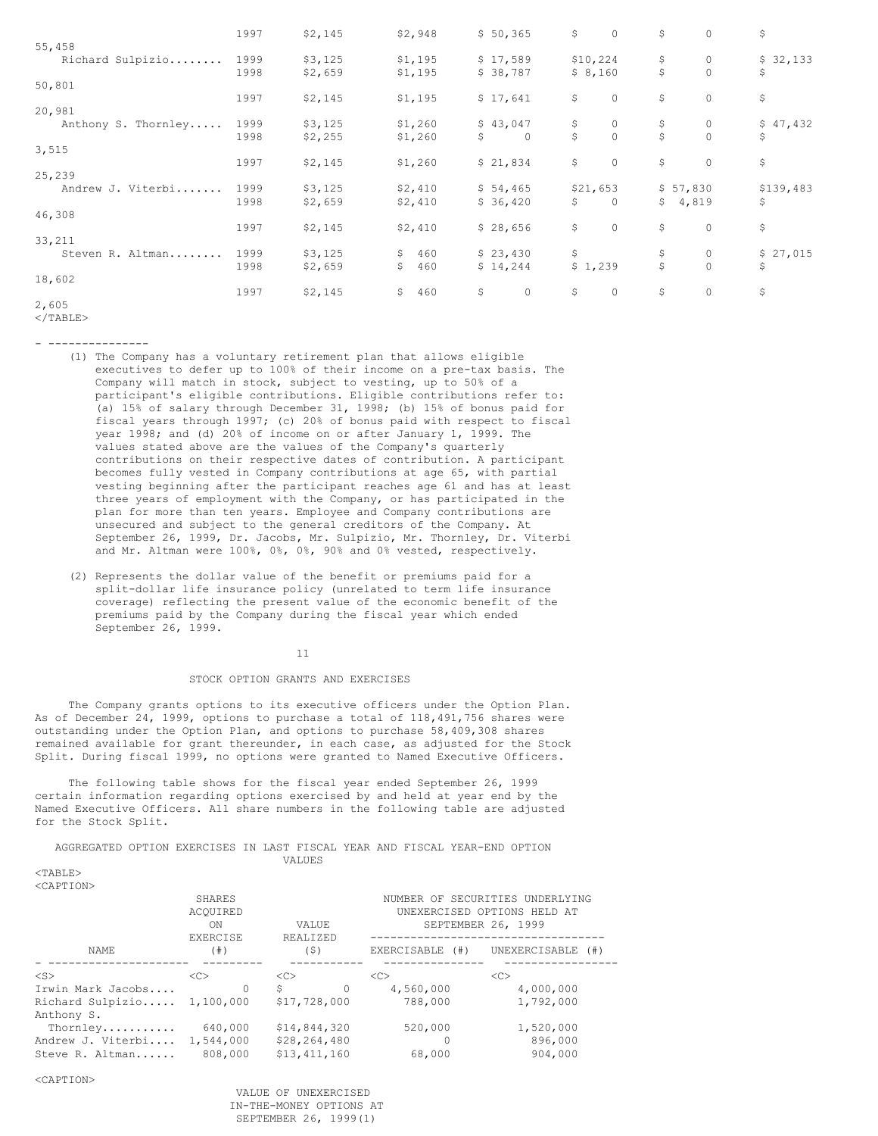|                            | 1997 | \$2,145 | \$2,948   | \$50,365       | \$ | $\circ$  | \$             | $\circ$     | \$        |
|----------------------------|------|---------|-----------|----------------|----|----------|----------------|-------------|-----------|
| 55,458<br>Richard Sulpizio | 1999 | \$3,125 | \$1,195   | \$17,589       |    | \$10,224 | \$             | $\mathbf 0$ | \$32,133  |
| 50,801                     | 1998 | \$2,659 | \$1,195   | \$38,787       |    | \$8,160  | \$             | $\circ$     | \$        |
|                            | 1997 | \$2,145 | \$1,195   | \$17,641       | \$ | $\circ$  | \$             | 0           | \$        |
| 20,981                     |      |         |           |                |    |          |                |             |           |
| Anthony S. Thornley        | 1999 | \$3,125 | \$1,260   | \$43,047       | \$ | $\circ$  | \$             | 0           | \$47,432  |
|                            | 1998 | \$2,255 | \$1,260   | \$<br>$\Omega$ | Ŝ  | $\Omega$ | Ś              | $\Omega$    | \$        |
| 3,515                      |      |         |           |                |    |          |                |             |           |
|                            | 1997 | \$2,145 | \$1,260   | \$21,834       | \$ | $\circ$  | \$             | $\circ$     | \$        |
| 25,239                     |      |         |           |                |    |          |                |             |           |
| Andrew J. Viterbi          | 1999 | \$3,125 | \$2,410   | \$54,465       |    | \$21,653 | \$57,830       |             | \$139,483 |
|                            | 1998 | \$2,659 | \$2,410   | \$36,420       | S  | $\Omega$ | $\mathsf{S}^-$ | 4,819       | \$        |
| 46,308                     |      |         |           |                |    |          |                |             |           |
|                            | 1997 | \$2,145 | \$2,410   | \$28,656       | \$ | $\circ$  | \$             | $\circ$     | \$        |
| 33,211                     |      |         |           |                |    |          |                |             |           |
| Steven R. Altman           | 1999 | \$3,125 | \$<br>460 | \$23,430       | \$ |          | \$             | $\mathbf 0$ | \$27,015  |
|                            | 1998 | \$2,659 | 460<br>\$ | \$14,244       |    | \$1,239  | \$             | $\circ$     | \$        |
| 18,602                     |      |         |           |                |    |          |                |             |           |
|                            | 1997 | \$2,145 | \$<br>460 | \$<br>$\circ$  | \$ | $\circ$  | \$             | $\circ$     | \$        |
| 2,605                      |      |         |           |                |    |          |                |             |           |

</TABLE>

- ---------------

- (1) The Company has a voluntary retirement plan that allows eligible executives to defer up to 100% of their income on a pre-tax basis. The Company will match in stock, subject to vesting, up to 50% of a participant's eligible contributions. Eligible contributions refer to: (a) 15% of salary through December 31, 1998; (b) 15% of bonus paid for fiscal years through 1997; (c) 20% of bonus paid with respect to fiscal year 1998; and (d) 20% of income on or after January 1, 1999. The values stated above are the values of the Company's quarterly contributions on their respective dates of contribution. A participant becomes fully vested in Company contributions at age 65, with partial vesting beginning after the participant reaches age 61 and has at least three years of employment with the Company, or has participated in the plan for more than ten years. Employee and Company contributions are unsecured and subject to the general creditors of the Company. At September 26, 1999, Dr. Jacobs, Mr. Sulpizio, Mr. Thornley, Dr. Viterbi and Mr. Altman were 100%, 0%, 0%, 90% and 0% vested, respectively.
- (2) Represents the dollar value of the benefit or premiums paid for a split-dollar life insurance policy (unrelated to term life insurance coverage) reflecting the present value of the economic benefit of the premiums paid by the Company during the fiscal year which ended September 26, 1999.

#### 11

# STOCK OPTION GRANTS AND EXERCISES

The Company grants options to its executive officers under the Option Plan. As of December 24, 1999, options to purchase a total of 118,491,756 shares were outstanding under the Option Plan, and options to purchase 58,409,308 shares remained available for grant thereunder, in each case, as adjusted for the Stock Split. During fiscal 1999, no options were granted to Named Executive Officers.

The following table shows for the fiscal year ended September 26, 1999 certain information regarding options exercised by and held at year end by the Named Executive Officers. All share numbers in the following table are adjusted for the Stock Split.

AGGREGATED OPTION EXERCISES IN LAST FISCAL YEAR AND FISCAL YEAR-END OPTION VALUES

 $<$ TABLE>  $\sim$ CAD<sup>T</sup>ION

| SUAPIIUNZ                  |           |               |                                                   |                                 |  |  |
|----------------------------|-----------|---------------|---------------------------------------------------|---------------------------------|--|--|
|                            | SHARES    |               |                                                   | NUMBER OF SECURITIES UNDERLYING |  |  |
|                            | ACOUIRED  |               | UNEXERCISED OPTIONS HELD AT<br>SEPTEMBER 26, 1999 |                                 |  |  |
|                            | ON        | VALUE         |                                                   |                                 |  |  |
|                            | EXERCISE  |               |                                                   |                                 |  |  |
| NAME.                      | (  # )    | (S)           | EXERCISABLE (#)                                   | UNEXERCISABLE (#)               |  |  |
| $<$ S $>$                  | <<        | <<            | <<                                                | <<                              |  |  |
| Irwin Mark Jacobs          | $\Omega$  | S<br>$\Omega$ | 4,560,000                                         | 4,000,000                       |  |  |
| Richard Sulpizio 1,100,000 |           | \$17,728,000  | 788,000                                           | 1,792,000                       |  |  |
| Anthony S.                 |           |               |                                                   |                                 |  |  |
| Thornley                   | 640,000   | \$14,844,320  | 520,000                                           | 1,520,000                       |  |  |
| Andrew J. Viterbi          | 1,544,000 | \$28,264,480  |                                                   | 896,000                         |  |  |
| Steve R. Altman            | 808,000   | \$13.411.160  | 68,000                                            | 904,000                         |  |  |
|                            |           |               |                                                   |                                 |  |  |

<CAPTION>

VALUE OF UNEXERCISED IN-THE-MONEY OPTIONS AT SEPTEMBER 26, 1999(1)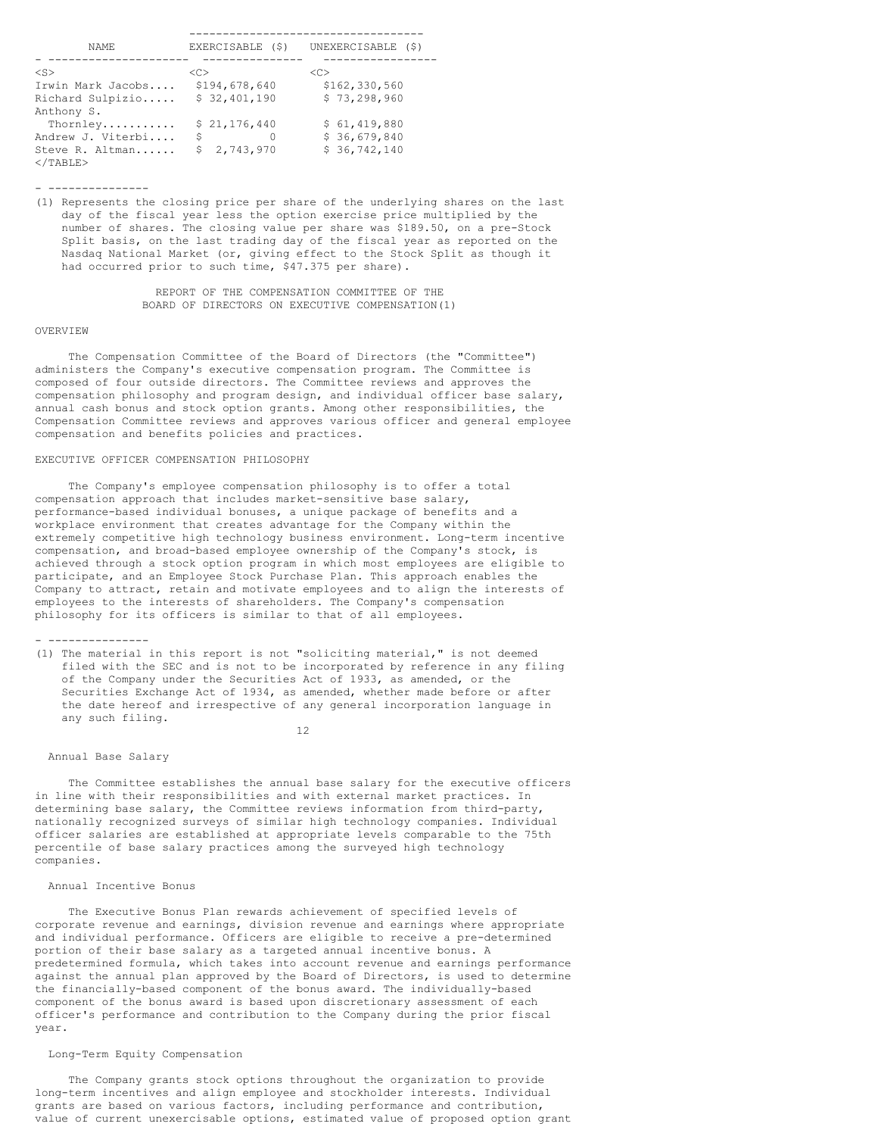| NAME.                                | EXERCISABLE (\$) | UNEXERCISABLE<br>(S) |
|--------------------------------------|------------------|----------------------|
| $<$ S>                               | <<               | < <sub></sub>        |
| Irwin Mark Jacobs                    | \$194,678,640    | \$162,330,560        |
| Richard Sulpizio                     | \$32,401,190     | \$73, 298, 960       |
| Anthony S.                           |                  |                      |
| Thornley                             | \$21,176,440     | \$61,419,880         |
| Andrew J. Viterbi                    | Ś                | \$36,679,840         |
| Steve R. Altman<br>$\langle$ /TABLE> | Ŝ.<br>2,743,970  | \$36,742,140         |

- ---------------

(1) Represents the closing price per share of the underlying shares on the last day of the fiscal year less the option exercise price multiplied by the number of shares. The closing value per share was \$189.50, on a pre-Stock Split basis, on the last trading day of the fiscal year as reported on the Nasdaq National Market (or, giving effect to the Stock Split as though it had occurred prior to such time, \$47.375 per share).

> REPORT OF THE COMPENSATION COMMITTEE OF THE BOARD OF DIRECTORS ON EXECUTIVE COMPENSATION(1)

### OVERVIEW

The Compensation Committee of the Board of Directors (the "Committee") administers the Company's executive compensation program. The Committee is composed of four outside directors. The Committee reviews and approves the compensation philosophy and program design, and individual officer base salary, annual cash bonus and stock option grants. Among other responsibilities, the Compensation Committee reviews and approves various officer and general employee compensation and benefits policies and practices.

# EXECUTIVE OFFICER COMPENSATION PHILOSOPHY

The Company's employee compensation philosophy is to offer a total compensation approach that includes market-sensitive base salary, performance-based individual bonuses, a unique package of benefits and a workplace environment that creates advantage for the Company within the extremely competitive high technology business environment. Long-term incentive compensation, and broad-based employee ownership of the Company's stock, is achieved through a stock option program in which most employees are eligible to participate, and an Employee Stock Purchase Plan. This approach enables the Company to attract, retain and motivate employees and to align the interests of employees to the interests of shareholders. The Company's compensation philosophy for its officers is similar to that of all employees.

- ---------------

(1) The material in this report is not "soliciting material," is not deemed filed with the SEC and is not to be incorporated by reference in any filing of the Company under the Securities Act of 1933, as amended, or the Securities Exchange Act of 1934, as amended, whether made before or after the date hereof and irrespective of any general incorporation language in any such filing.

12

#### Annual Base Salary

The Committee establishes the annual base salary for the executive officers in line with their responsibilities and with external market practices. In determining base salary, the Committee reviews information from third-party, nationally recognized surveys of similar high technology companies. Individual officer salaries are established at appropriate levels comparable to the 75th percentile of base salary practices among the surveyed high technology companies.

# Annual Incentive Bonus

The Executive Bonus Plan rewards achievement of specified levels of corporate revenue and earnings, division revenue and earnings where appropriate and individual performance. Officers are eligible to receive a pre-determined portion of their base salary as a targeted annual incentive bonus. A predetermined formula, which takes into account revenue and earnings performance against the annual plan approved by the Board of Directors, is used to determine the financially-based component of the bonus award. The individually-based component of the bonus award is based upon discretionary assessment of each officer's performance and contribution to the Company during the prior fiscal year.

# Long-Term Equity Compensation

The Company grants stock options throughout the organization to provide long-term incentives and align employee and stockholder interests. Individual grants are based on various factors, including performance and contribution, value of current unexercisable options, estimated value of proposed option grant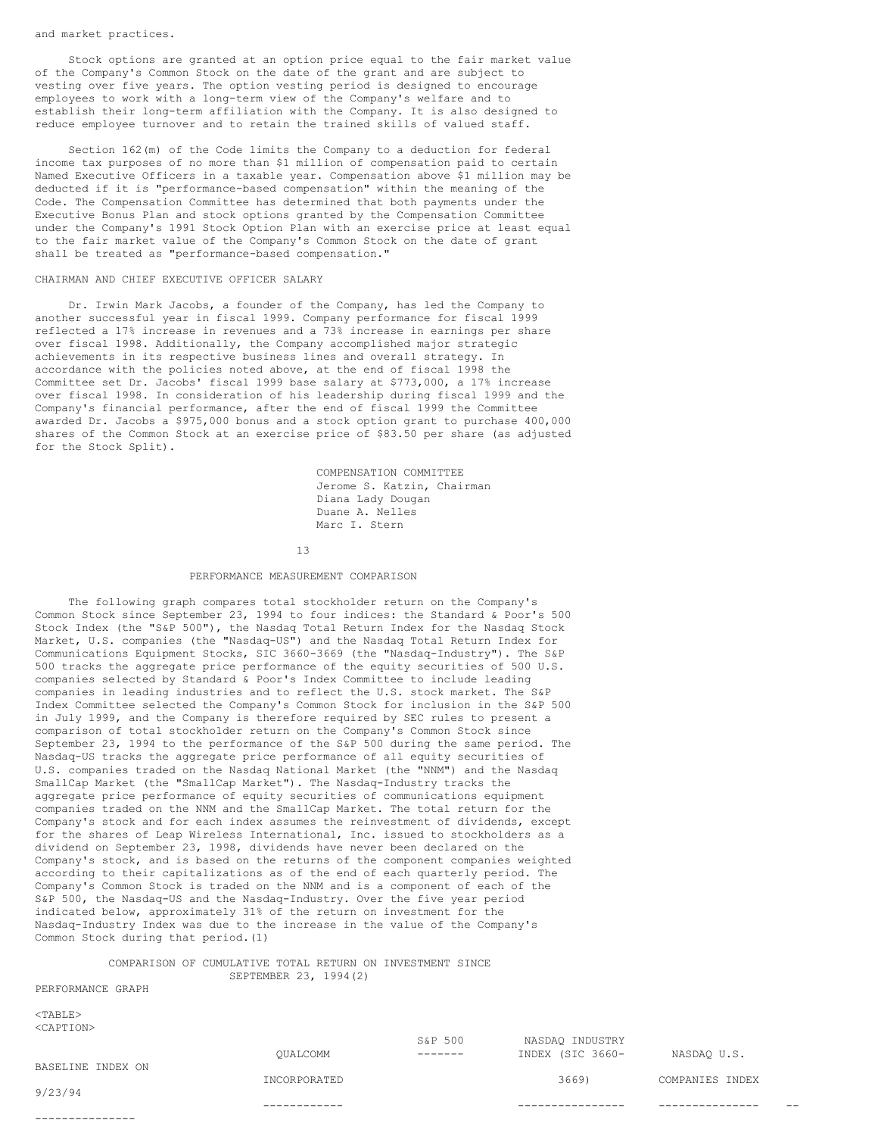#### and market practices.

Stock options are granted at an option price equal to the fair market value of the Company's Common Stock on the date of the grant and are subject to vesting over five years. The option vesting period is designed to encourage employees to work with a long-term view of the Company's welfare and to establish their long-term affiliation with the Company. It is also designed to reduce employee turnover and to retain the trained skills of valued staff.

Section 162(m) of the Code limits the Company to a deduction for federal income tax purposes of no more than \$1 million of compensation paid to certain Named Executive Officers in a taxable year. Compensation above \$1 million may be deducted if it is "performance-based compensation" within the meaning of the Code. The Compensation Committee has determined that both payments under the Executive Bonus Plan and stock options granted by the Compensation Committee under the Company's 1991 Stock Option Plan with an exercise price at least equal to the fair market value of the Company's Common Stock on the date of grant shall be treated as "performance-based compensation."

#### CHAIRMAN AND CHIEF EXECUTIVE OFFICER SALARY

Dr. Irwin Mark Jacobs, a founder of the Company, has led the Company to another successful year in fiscal 1999. Company performance for fiscal 1999 reflected a 17% increase in revenues and a 73% increase in earnings per share over fiscal 1998. Additionally, the Company accomplished major strategic achievements in its respective business lines and overall strategy. In accordance with the policies noted above, at the end of fiscal 1998 the Committee set Dr. Jacobs' fiscal 1999 base salary at \$773,000, a 17% increase over fiscal 1998. In consideration of his leadership during fiscal 1999 and the Company's financial performance, after the end of fiscal 1999 the Committee awarded Dr. Jacobs a \$975,000 bonus and a stock option grant to purchase 400,000 shares of the Common Stock at an exercise price of \$83.50 per share (as adjusted for the Stock Split).

> COMPENSATION COMMITTEE Jerome S. Katzin, Chairman Diana Lady Dougan Duane A. Nelles Marc I. Stern

13

#### PERFORMANCE MEASUREMENT COMPARISON

The following graph compares total stockholder return on the Company's Common Stock since September 23, 1994 to four indices: the Standard  $\stackrel{\cdot}{\bullet}$  Poor's 500 Stock Index (the "S&P 500"), the Nasdaq Total Return Index for the Nasdaq Stock Market, U.S. companies (the "Nasdaq-US") and the Nasdaq Total Return Index for Communications Equipment Stocks, SIC 3660-3669 (the "Nasdaq-Industry"). The S&P 500 tracks the aggregate price performance of the equity securities of 500 U.S. companies selected by Standard & Poor's Index Committee to include leading companies in leading industries and to reflect the U.S. stock market. The S&P Index Committee selected the Company's Common Stock for inclusion in the S&P 500 in July 1999, and the Company is therefore required by SEC rules to present a comparison of total stockholder return on the Company's Common Stock since September 23, 1994 to the performance of the S&P 500 during the same period. The Nasdaq-US tracks the aggregate price performance of all equity securities of U.S. companies traded on the Nasdaq National Market (the "NNM") and the Nasdaq SmallCap Market (the "SmallCap Market"). The Nasdaq-Industry tracks the aggregate price performance of equity securities of communications equipment companies traded on the NNM and the SmallCap Market. The total return for the Company's stock and for each index assumes the reinvestment of dividends, except for the shares of Leap Wireless International, Inc. issued to stockholders as a dividend on September 23, 1998, dividends have never been declared on the Company's stock, and is based on the returns of the component companies weighted according to their capitalizations as of the end of each quarterly period. The Company's Common Stock is traded on the NNM and is a component of each of the S&P 500, the Nasdaq-US and the Nasdaq-Industry. Over the five year period indicated below, approximately 31% of the return on investment for the Nasdaq-Industry Index was due to the increase in the value of the Company's Common Stock during that period.(1)

# COMPARISON OF CUMULATIVE TOTAL RETURN ON INVESTMENT SINCE SEPTEMBER 23, 1994(2)

# PERFORMANCE GRAPH

 $<$ TABLE> <CAPTION>

S&P 500 NASDAQ INDUSTRY QUALCOMM ------- INDEX (SIC 3660- NASDAQ U.S. BASELINE INDEX ON

9/23/94

---------------

INCORPORATED 3669) COMPANIES INDEX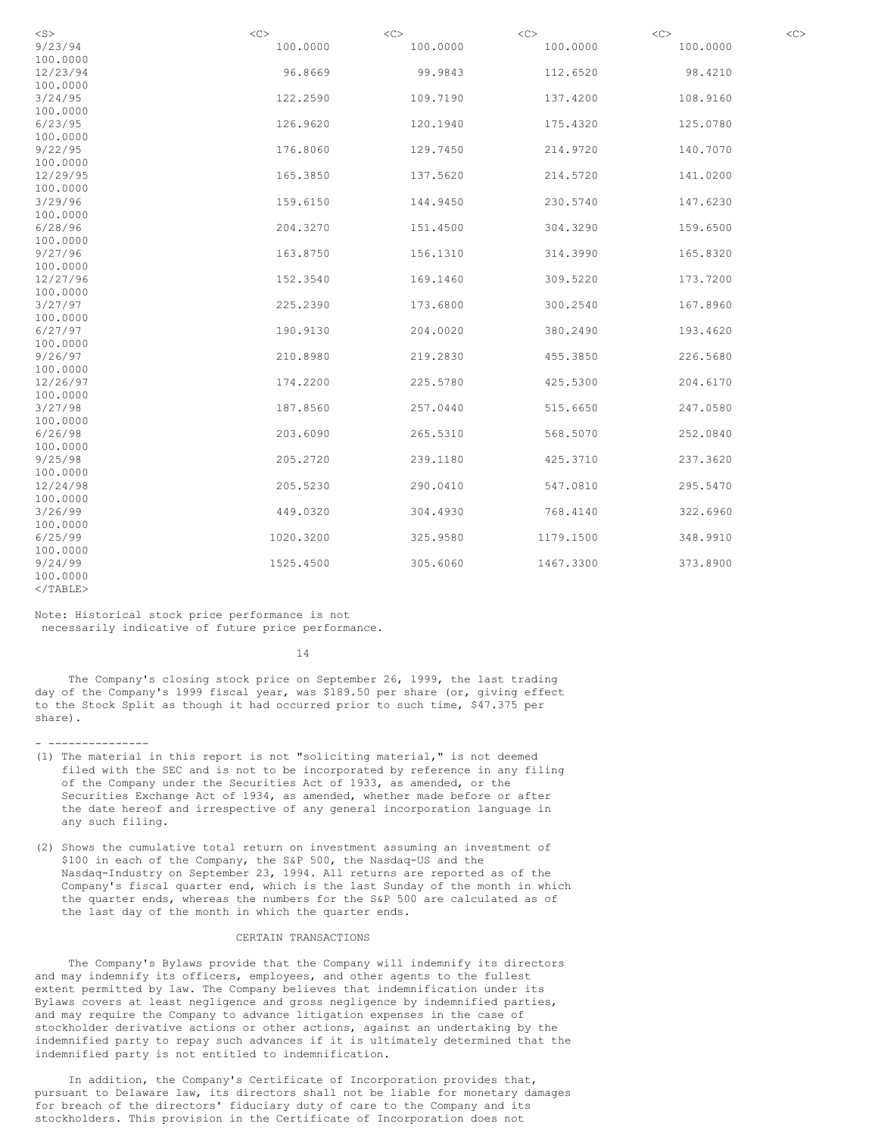| $<$ S $>$                     | <<        | $<\infty$ | $<$ C>    | $<$ C $>$ | << |
|-------------------------------|-----------|-----------|-----------|-----------|----|
| 9/23/94                       | 100.0000  | 100.0000  | 100.0000  | 100.0000  |    |
| 100.0000                      |           |           |           |           |    |
| 12/23/94                      | 96.8669   | 99.9843   | 112.6520  | 98.4210   |    |
| 100.0000                      |           |           |           |           |    |
| 3/24/95                       | 122.2590  | 109.7190  | 137.4200  | 108.9160  |    |
| 100.0000                      |           |           |           |           |    |
| 6/23/95                       | 126.9620  | 120.1940  | 175.4320  | 125.0780  |    |
| 100.0000                      |           |           |           |           |    |
| 9/22/95                       | 176.8060  | 129.7450  | 214.9720  | 140.7070  |    |
| 100.0000                      |           |           |           |           |    |
| 12/29/95                      | 165.3850  | 137.5620  | 214.5720  | 141.0200  |    |
| 100.0000                      |           |           |           |           |    |
| 3/29/96                       | 159.6150  | 144.9450  | 230.5740  | 147.6230  |    |
| 100.0000                      |           |           |           |           |    |
| 6/28/96                       | 204.3270  | 151.4500  | 304.3290  | 159.6500  |    |
| 100.0000                      |           |           |           |           |    |
| 9/27/96                       | 163.8750  | 156.1310  | 314.3990  | 165.8320  |    |
| 100.0000                      |           |           |           |           |    |
| 12/27/96                      | 152.3540  | 169.1460  | 309.5220  | 173.7200  |    |
| 100.0000                      |           |           |           |           |    |
| 3/27/97                       | 225.2390  | 173.6800  | 300.2540  | 167.8960  |    |
| 100.0000                      |           |           |           |           |    |
| 6/27/97                       | 190.9130  | 204.0020  | 380.2490  | 193.4620  |    |
| 100.0000                      |           |           |           |           |    |
| 9/26/97                       | 210.8980  | 219.2830  | 455.3850  | 226.5680  |    |
| 100.0000                      |           |           |           |           |    |
| 12/26/97                      | 174.2200  | 225.5780  | 425.5300  | 204.6170  |    |
| 100.0000                      |           |           |           |           |    |
| 3/27/98                       | 187.8560  | 257.0440  | 515.6650  | 247.0580  |    |
| 100.0000                      |           |           |           |           |    |
| 6/26/98                       | 203.6090  | 265.5310  | 568.5070  | 252.0840  |    |
| 100.0000                      |           |           |           |           |    |
| 9/25/98                       | 205.2720  | 239.1180  | 425.3710  | 237.3620  |    |
| 100.0000                      |           |           |           |           |    |
| 12/24/98                      | 205.5230  | 290.0410  | 547.0810  | 295.5470  |    |
| 100.0000                      |           |           |           |           |    |
| 3/26/99                       | 449.0320  | 304.4930  | 768.4140  | 322.6960  |    |
| 100.0000                      |           |           |           |           |    |
| 6/25/99                       | 1020.3200 | 325.9580  | 1179.1500 | 348.9910  |    |
| 100.0000                      |           |           |           |           |    |
| 9/24/99                       | 1525.4500 | 305.6060  | 1467.3300 | 373.8900  |    |
| 100.0000<br>$\langle$ /TARLE> |           |           |           |           |    |
|                               |           |           |           |           |    |

Note: Historical stock price performance is not necessarily indicative of future price performance.

14

The Company's closing stock price on September 26, 1999, the last trading day of the Company's 1999 fiscal year, was \$189.50 per share (or, giving effect to the Stock Split as though it had occurred prior to such time, \$47.375 per share).

- ---------------

- (1) The material in this report is not "soliciting material," is not deemed filed with the SEC and is not to be incorporated by reference in any filing of the Company under the Securities Act of 1933, as amended, or the Securities Exchange Act of 1934, as amended, whether made before or after the date hereof and irrespective of any general incorporation language in any such filing.
- (2) Shows the cumulative total return on investment assuming an investment of \$100 in each of the Company, the S&P 500, the Nasdaq-US and the Nasdaq-Industry on September 23, 1994. All returns are reported as of the Company's fiscal quarter end, which is the last Sunday of the month in which the quarter ends, whereas the numbers for the S&P 500 are calculated as of the last day of the month in which the quarter ends.

# CERTAIN TRANSACTIONS

The Company's Bylaws provide that the Company will indemnify its directors and may indemnify its officers, employees, and other agents to the fullest extent permitted by law. The Company believes that indemnification under its Bylaws covers at least negligence and gross negligence by indemnified parties, and may require the Company to advance litigation expenses in the case of stockholder derivative actions or other actions, against an undertaking by the indemnified party to repay such advances if it is ultimately determined that the indemnified party is not entitled to indemnification.

In addition, the Company's Certificate of Incorporation provides that, pursuant to Delaware law, its directors shall not be liable for monetary damages for breach of the directors' fiduciary duty of care to the Company and its stockholders. This provision in the Certificate of Incorporation does not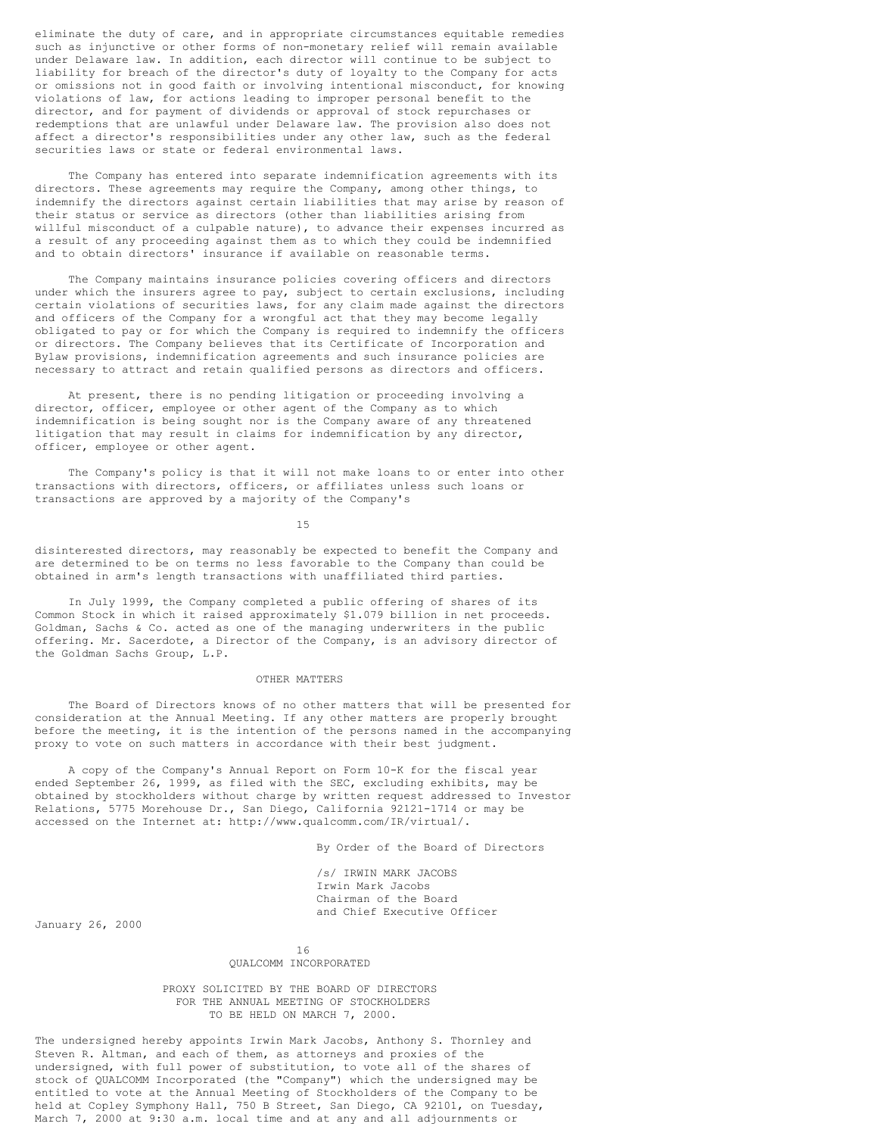eliminate the duty of care, and in appropriate circumstances equitable remedies such as injunctive or other forms of non-monetary relief will remain available under Delaware law. In addition, each director will continue to be subject to liability for breach of the director's duty of loyalty to the Company for acts or omissions not in good faith or involving intentional misconduct, for knowing violations of law, for actions leading to improper personal benefit to the director, and for payment of dividends or approval of stock repurchases or redemptions that are unlawful under Delaware law. The provision also does not affect a director's responsibilities under any other law, such as the federal securities laws or state or federal environmental laws.

The Company has entered into separate indemnification agreements with its directors. These agreements may require the Company, among other things, to indemnify the directors against certain liabilities that may arise by reason of their status or service as directors (other than liabilities arising from willful misconduct of a culpable nature), to advance their expenses incurred as a result of any proceeding against them as to which they could be indemnified and to obtain directors' insurance if available on reasonable terms.

The Company maintains insurance policies covering officers and directors under which the insurers agree to pay, subject to certain exclusions, including certain violations of securities laws, for any claim made against the directors and officers of the Company for a wrongful act that they may become legally obligated to pay or for which the Company is required to indemnify the officers or directors. The Company believes that its Certificate of Incorporation and Bylaw provisions, indemnification agreements and such insurance policies are necessary to attract and retain qualified persons as directors and officers.

At present, there is no pending litigation or proceeding involving a director, officer, employee or other agent of the Company as to which indemnification is being sought nor is the Company aware of any threatened litigation that may result in claims for indemnification by any director, officer, employee or other agent.

The Company's policy is that it will not make loans to or enter into other transactions with directors, officers, or affiliates unless such loans or transactions are approved by a majority of the Company's

15

disinterested directors, may reasonably be expected to benefit the Company and are determined to be on terms no less favorable to the Company than could be obtained in arm's length transactions with unaffiliated third parties.

In July 1999, the Company completed a public offering of shares of its Common Stock in which it raised approximately \$1.079 billion in net proceeds. Goldman, Sachs & Co. acted as one of the managing underwriters in the public offering. Mr. Sacerdote, a Director of the Company, is an advisory director of the Goldman Sachs Group, L.P.

#### OTHER MATTERS

The Board of Directors knows of no other matters that will be presented for consideration at the Annual Meeting. If any other matters are properly brought before the meeting, it is the intention of the persons named in the accompanying proxy to vote on such matters in accordance with their best judgment.

A copy of the Company's Annual Report on Form 10-K for the fiscal year ended September 26, 1999, as filed with the SEC, excluding exhibits, may be obtained by stockholders without charge by written request addressed to Investor Relations, 5775 Morehouse Dr., San Diego, California 92121-1714 or may be accessed on the Internet at: http://www.qualcomm.com/IR/virtual/.

By Order of the Board of Directors

/s/ IRWIN MARK JACOBS Irwin Mark Jacobs Chairman of the Board and Chief Executive Officer

January 26, 2000

## 16 QUALCOMM INCORPORATED

PROXY SOLICITED BY THE BOARD OF DIRECTORS FOR THE ANNUAL MEETING OF STOCKHOLDERS TO BE HELD ON MARCH 7, 2000.

The undersigned hereby appoints Irwin Mark Jacobs, Anthony S. Thornley and Steven R. Altman, and each of them, as attorneys and proxies of the undersigned, with full power of substitution, to vote all of the shares of stock of QUALCOMM Incorporated (the "Company") which the undersigned may be entitled to vote at the Annual Meeting of Stockholders of the Company to be held at Copley Symphony Hall, 750 B Street, San Diego, CA 92101, on Tuesday, March 7, 2000 at 9:30 a.m. local time and at any and all adjournments or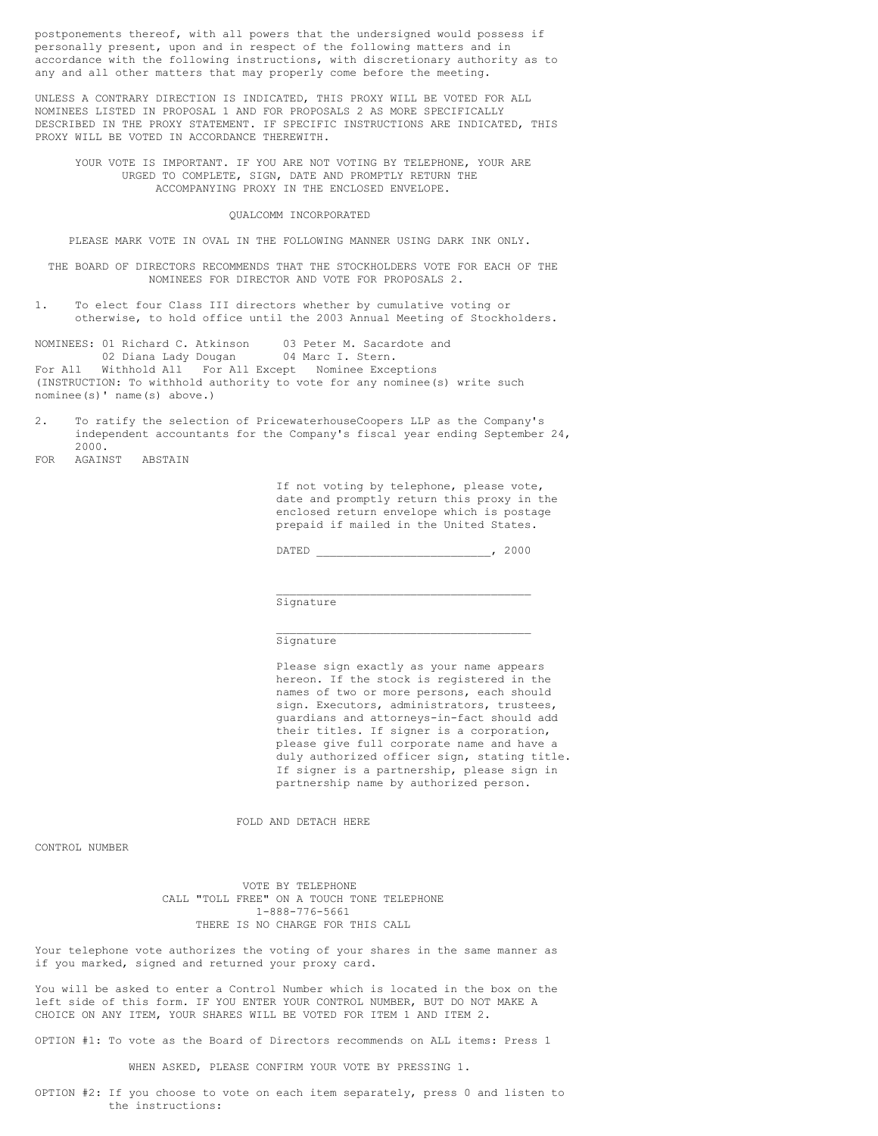postponements thereof, with all powers that the undersigned would possess if personally present, upon and in respect of the following matters and in accordance with the following instructions, with discretionary authority as to any and all other matters that may properly come before the meeting.

UNLESS A CONTRARY DIRECTION IS INDICATED, THIS PROXY WILL BE VOTED FOR ALL NOMINEES LISTED IN PROPOSAL 1 AND FOR PROPOSALS 2 AS MORE SPECIFICALLY DESCRIBED IN THE PROXY STATEMENT. IF SPECIFIC INSTRUCTIONS ARE INDICATED, THIS PROXY WILL BE VOTED IN ACCORDANCE THEREWITH.

YOUR VOTE IS IMPORTANT. IF YOU ARE NOT VOTING BY TELEPHONE, YOUR ARE URGED TO COMPLETE, SIGN, DATE AND PROMPTLY RETURN THE ACCOMPANYING PROXY IN THE ENCLOSED ENVELOPE.

#### QUALCOMM INCORPORATED

PLEASE MARK VOTE IN OVAL IN THE FOLLOWING MANNER USING DARK INK ONLY.

THE BOARD OF DIRECTORS RECOMMENDS THAT THE STOCKHOLDERS VOTE FOR EACH OF THE NOMINEES FOR DIRECTOR AND VOTE FOR PROPOSALS 2.

1. To elect four Class III directors whether by cumulative voting or otherwise, to hold office until the 2003 Annual Meeting of Stockholders.

NOMINEES: 01 Richard C. Atkinson 03 Peter M. Sacardote and 02 Diana Lady Dougan 04 Marc I. Stern. 02 Diana Lady Dougan For All Withhold All For All Except Nominee Exceptions (INSTRUCTION: To withhold authority to vote for any nominee(s) write such nominee(s)' name(s) above.)

- 2. To ratify the selection of PricewaterhouseCoopers LLP as the Company's independent accountants for the Company's fiscal year ending September 24, 2000.
- FOR AGAINST ABSTAIN

If not voting by telephone, please vote, date and promptly return this proxy in the enclosed return envelope which is postage prepaid if mailed in the United States.

DATED \_\_\_\_\_\_\_\_\_\_\_\_\_\_\_\_\_\_\_\_\_\_\_\_\_\_, 2000

\_\_\_\_\_\_\_\_\_\_\_\_\_\_\_\_\_\_\_\_\_\_\_\_\_\_\_\_\_\_\_\_\_\_\_\_\_\_

\_\_\_\_\_\_\_\_\_\_\_\_\_\_\_\_\_\_\_\_\_\_\_\_\_\_\_\_\_\_\_\_\_\_\_\_\_\_

Signature

### Signature

Please sign exactly as your name appears hereon. If the stock is registered in the names of two or more persons, each should sign. Executors, administrators, trustees, guardians and attorneys-in-fact should add their titles. If signer is a corporation, please give full corporate name and have a duly authorized officer sign, stating title. If signer is a partnership, please sign in partnership name by authorized person.

FOLD AND DETACH HERE

CONTROL NUMBER

VOTE BY TELEPHONE CALL "TOLL FREE" ON A TOUCH TONE TELEPHONE 1-888-776-5661 THERE IS NO CHARGE FOR THIS CALL

Your telephone vote authorizes the voting of your shares in the same manner as if you marked, signed and returned your proxy card.

You will be asked to enter a Control Number which is located in the box on the left side of this form. IF YOU ENTER YOUR CONTROL NUMBER, BUT DO NOT MAKE A CHOICE ON ANY ITEM, YOUR SHARES WILL BE VOTED FOR ITEM 1 AND ITEM 2.

OPTION #1: To vote as the Board of Directors recommends on ALL items: Press 1

WHEN ASKED, PLEASE CONFIRM YOUR VOTE BY PRESSING 1.

OPTION #2: If you choose to vote on each item separately, press 0 and listen to the instructions: